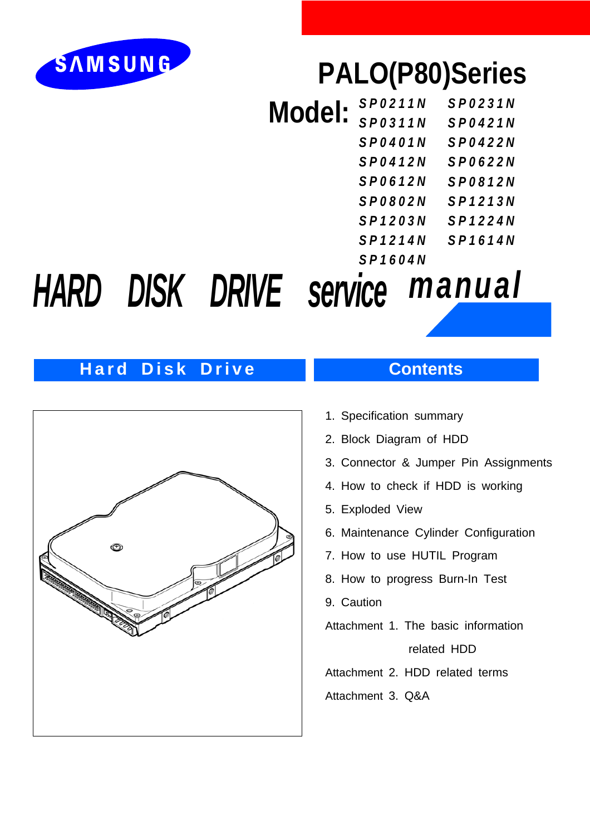

## **PALO(P80)Series**

| Model: | <b>SP0211N</b> | <b>SP0231N</b> |
|--------|----------------|----------------|
|        | <b>SP0311N</b> | <b>SP0421N</b> |
|        | SP0401N        | <b>SP0422N</b> |
|        | <b>SP0412N</b> | <b>SP0622N</b> |
|        | <b>SP0612N</b> | <b>SP0812N</b> |
|        | <b>SP0802N</b> | SP1213N        |
|        | SP1203N        | <b>SP1224N</b> |
|        | SP1214N        | SP1614N        |
|        | SP1604N        |                |

# *HARD DISK DRIVE service manual*

## **Hard Disk Drive Contents**



- 1. Specification summary
- 2. Block Diagram of HDD
- 3. Connector & Jumper Pin Assignments
- 4. How to check if HDD is working
- 5. Exploded View
- 6. Maintenance Cylinder Configuration
- 7. How to use HUTIL Program
- 8. How to progress Burn-In Test
- 9. Caution
- Attachment 1. The basic information

related HDD

Attachment 2. HDD related terms

Attachment 3. Q&A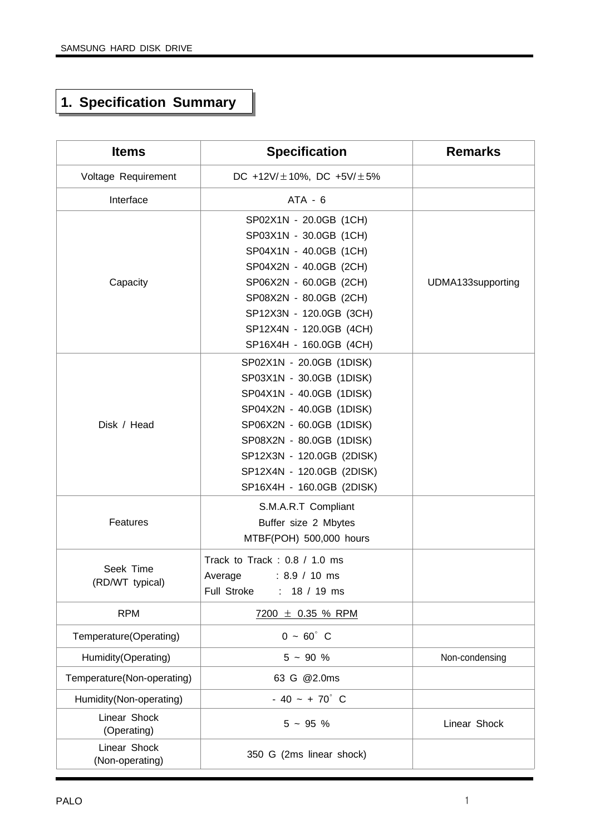## **1. Specification Summary**

| <b>Items</b>                    | <b>Specification</b>                                                                                                                                                                                                                                        | <b>Remarks</b>    |
|---------------------------------|-------------------------------------------------------------------------------------------------------------------------------------------------------------------------------------------------------------------------------------------------------------|-------------------|
| Voltage Requirement             | DC +12V/ $\pm$ 10%, DC +5V/ $\pm$ 5%                                                                                                                                                                                                                        |                   |
| Interface                       | $ATA - 6$                                                                                                                                                                                                                                                   |                   |
| Capacity                        | SP02X1N - 20.0GB (1CH)<br>SP03X1N - 30.0GB (1CH)<br>SP04X1N - 40.0GB (1CH)<br>SP04X2N - 40.0GB (2CH)<br>SP06X2N - 60.0GB (2CH)<br>SP08X2N - 80.0GB (2CH)<br>SP12X3N - 120.0GB (3CH)<br>SP12X4N - 120.0GB (4CH)<br>SP16X4H - 160.0GB (4CH)                   | UDMA133supporting |
| Disk / Head                     | SP02X1N - 20.0GB (1DISK)<br>SP03X1N - 30.0GB (1DISK)<br>SP04X1N - 40.0GB (1DISK)<br>SP04X2N - 40.0GB (1DISK)<br>SP06X2N - 60.0GB (1DISK)<br>SP08X2N - 80.0GB (1DISK)<br>SP12X3N - 120.0GB (2DISK)<br>SP12X4N - 120.0GB (2DISK)<br>SP16X4H - 160.0GB (2DISK) |                   |
| Features                        | S.M.A.R.T Compliant<br>Buffer size 2 Mbytes<br>MTBF(POH) 500,000 hours                                                                                                                                                                                      |                   |
| Seek Time<br>(RD/WT typical)    | Track to Track: 0.8 / 1.0 ms<br>$: 8.9 / 10$ ms<br>Average<br>Full Stroke<br>18 / 19 ms<br>t.                                                                                                                                                               |                   |
| <b>RPM</b>                      | $7200 \pm 0.35$ % RPM                                                                                                                                                                                                                                       |                   |
| Temperature(Operating)          | $0 - 60^{\circ}$ C                                                                                                                                                                                                                                          |                   |
| Humidity(Operating)             | $5 - 90 %$                                                                                                                                                                                                                                                  | Non-condensing    |
| Temperature(Non-operating)      | 63 G @2.0ms                                                                                                                                                                                                                                                 |                   |
| Humidity(Non-operating)         | $-40 - +70^{\circ}$ C                                                                                                                                                                                                                                       |                   |
| Linear Shock<br>(Operating)     | $5 - 95 %$                                                                                                                                                                                                                                                  | Linear Shock      |
| Linear Shock<br>(Non-operating) | 350 G (2ms linear shock)                                                                                                                                                                                                                                    |                   |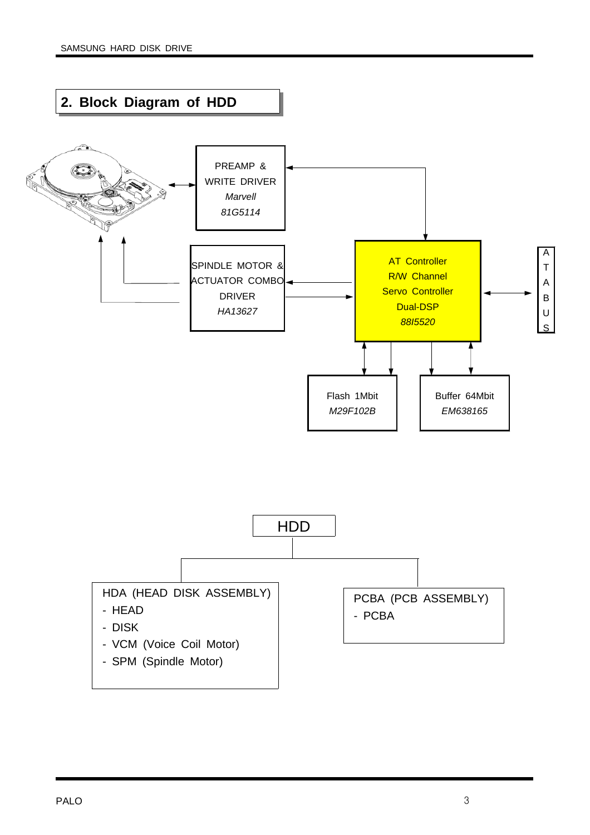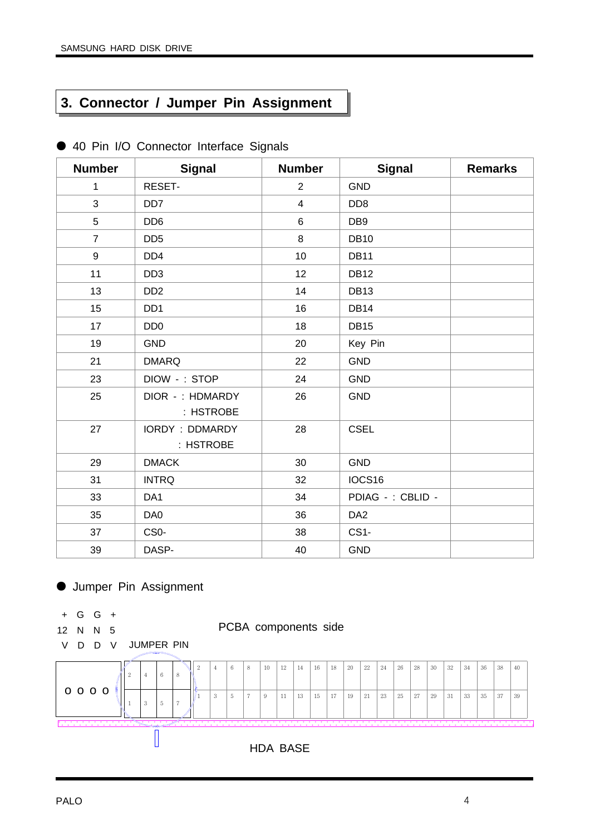## **3. Connector / Jumper Pin Assignment**

| <b>Number</b>  | <b>Signal</b>                      | <b>Number</b>  | <b>Signal</b>     | <b>Remarks</b> |
|----------------|------------------------------------|----------------|-------------------|----------------|
| $\mathbf{1}$   | RESET-                             | $\overline{2}$ | <b>GND</b>        |                |
| $\overline{3}$ | DD <sub>7</sub>                    | $\overline{4}$ | DD <sub>8</sub>   |                |
| 5              | DD <sub>6</sub>                    | 6              | DB <sub>9</sub>   |                |
| $\overline{7}$ | DD <sub>5</sub>                    | 8              | <b>DB10</b>       |                |
| 9              | DD <sub>4</sub>                    | 10             | <b>DB11</b>       |                |
| 11             | DD <sub>3</sub>                    | 12             | <b>DB12</b>       |                |
| 13             | DD <sub>2</sub>                    | 14             | <b>DB13</b>       |                |
| 15             | DD <sub>1</sub>                    | 16             | <b>DB14</b>       |                |
| 17             | DD <sub>0</sub>                    | 18             | <b>DB15</b>       |                |
| 19             | <b>GND</b>                         | 20             | Key Pin           |                |
| 21             | <b>DMARQ</b>                       | 22             | <b>GND</b>        |                |
| 23             | DIOW -: STOP                       | 24             | <b>GND</b>        |                |
| 25             | DIOR -: HDMARDY<br>: HSTROBE       | 26             | <b>GND</b>        |                |
| 27             | <b>IORDY: DDMARDY</b><br>: HSTROBE | 28             | <b>CSEL</b>       |                |
| 29             | <b>DMACK</b>                       | 30             | <b>GND</b>        |                |
| 31             | <b>INTRQ</b>                       | 32             | IOCS16            |                |
| 33             | DA <sub>1</sub>                    | 34             | PDIAG - : CBLID - |                |
| 35             | DA0                                | 36             | DA <sub>2</sub>   |                |
| 37             | CS <sub>0</sub> -                  | 38             | CS1-              |                |
| 39             | DASP-                              | 40             | <b>GND</b>        |                |

● 40 Pin I/O Connector Interface Signals

## ● Jumper Pin Assignment

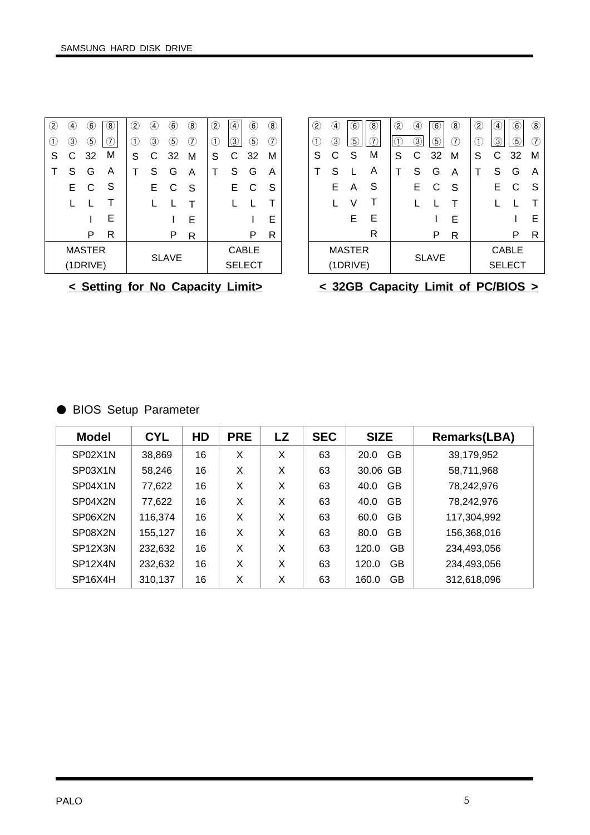| $\overline{2}$ | 4                | $\left( 6\right)$ | $\left( 8\right)$ | $\left( 2\right)$ | $\left[4\right]$ | $\widehat{6}$ | $\left( 8\right)$ | $\left( 2\right)$ | $\left( 4\right)$ | $6 \,$           | $\circledR$    |
|----------------|------------------|-------------------|-------------------|-------------------|------------------|---------------|-------------------|-------------------|-------------------|------------------|----------------|
| $\mathbf{1}$   | $\left[3\right]$ | $\left(5\right)$  | 7                 | $\left(1\right)$  | $\left(3\right)$ | 5             | (7)               | $\left(1\right)$  | 3                 | $\left(5\right)$ | $\overline{2}$ |
| S              | C.               | - 32              | М                 | S                 | C                | - 32          | м                 | S                 | С                 | -32              | м              |
|                | S                | G                 | A                 | Т                 | S                | G             | A                 | т                 | S                 | G                | Α              |
|                | Е                | C                 | S                 |                   | Е                | C             | S                 |                   | Е                 | C                | S              |
|                |                  |                   |                   |                   |                  | L             |                   |                   |                   |                  |                |
|                |                  |                   | E                 |                   |                  |               | F                 |                   |                   |                  | Е              |
|                |                  | P                 | R                 |                   |                  | Р             | R                 |                   |                   | Р                | R              |
| <b>MASTER</b>  |                  |                   |                   |                   |                  |               | <b>CABLE</b>      |                   |                   |                  |                |
|                |                  | (1DRIVE)          |                   |                   |                  | <b>SLAVE</b>  |                   |                   |                   | <b>SELECT</b>    |                |

| 5<br>(7)<br>3<br>3,<br>5<br>5<br>7<br>3)<br>(1)<br>M<br>S<br>32 M<br>S<br>-32<br>C<br>С<br>С<br>м<br>S<br>S |
|-------------------------------------------------------------------------------------------------------------|
|                                                                                                             |
|                                                                                                             |
| S<br>S<br>G<br>S<br>Α<br>G<br>т<br>A<br>Α                                                                   |
| S<br>Е<br>E.<br>Е<br>С<br>C<br>S<br>Α<br>-S                                                                 |
| V<br>Τ                                                                                                      |
| Е<br>Е<br>Е<br>Е                                                                                            |
| R<br>P<br>P<br>R<br>R                                                                                       |
| <b>MASTER</b><br><b>CABLE</b>                                                                               |
| <b>SLAVE</b><br>(1DRIVE)<br><b>SELECT</b>                                                                   |

**< Setting for No Capacity Limit>**

| < 32GB Capacity Limit of PC/BIOS > |  |  |  |
|------------------------------------|--|--|--|
|                                    |  |  |  |

## ● BIOS Setup Parameter

| <b>Model</b>                      | <b>CYL</b> | HD | <b>PRE</b> | <b>LZ</b> | <b>SEC</b> | <b>SIZE</b>        | <b>Remarks(LBA)</b> |
|-----------------------------------|------------|----|------------|-----------|------------|--------------------|---------------------|
| SP02X1N                           | 38,869     | 16 | X          | X         | 63         | GB<br>20.0         | 39,179,952          |
| SP03X1N                           | 58,246     | 16 | X          | X         | 63         | 30.06 GB           | 58,711,968          |
| SP04X1N                           | 77,622     | 16 | X          | X         | 63         | GB<br>40.0         | 78,242,976          |
| SP04X2N                           | 77,622     | 16 | X          | X         | 63         | <b>GB</b><br>40.0  | 78,242,976          |
| SP06X2N                           | 116,374    | 16 | X          | X         | 63         | <b>GB</b><br>60.0  | 117,304,992         |
| SP08X2N                           | 155,127    | 16 | X          | X         | 63         | GB<br>80.0         | 156,368,016         |
| SP <sub>12</sub> X <sub>3</sub> N | 232,632    | 16 | X          | X         | 63         | <b>GB</b><br>120.0 | 234,493,056         |
| SP <sub>12</sub> X <sub>4</sub> N | 232,632    | 16 | X          | X         | 63         | <b>GB</b><br>120.0 | 234,493,056         |
| SP <sub>16</sub> X <sub>4</sub> H | 310,137    | 16 | X          | X         | 63         | <b>GB</b><br>160.0 | 312,618,096         |

 $\mathsf{r}$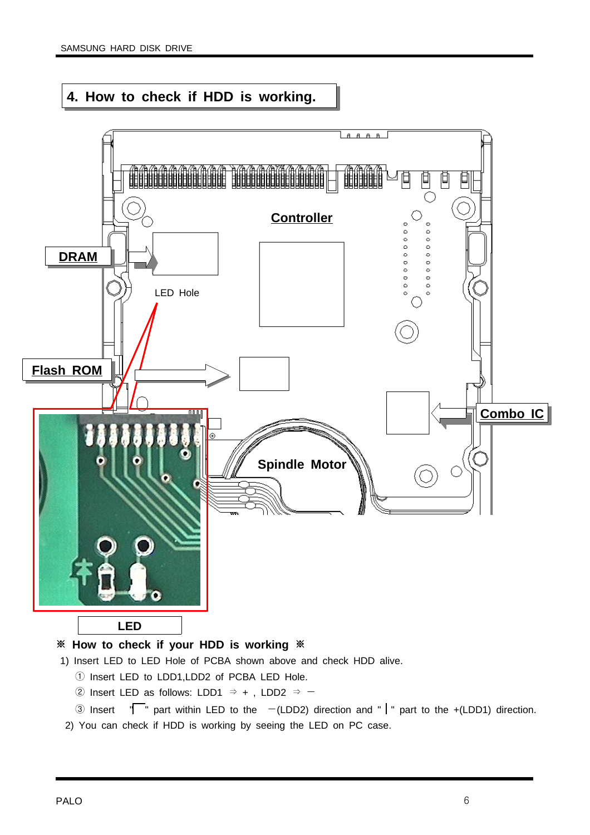## **4. How to check if HDD is working.**



- 1) Insert LED to LED Hole of PCBA shown above and check HDD alive.
	- ① Insert LED to LDD1,LDD2 of PCBA LED Hole.
	- ② Insert LED as follows: LDD1  $\Rightarrow$  +, LDD2  $\Rightarrow$  -
	- 3 Insert  $\sqrt{\ }$  part within LED to the  $-(LDD2)$  direction and "  $\sqrt{\ }$  part to the +(LDD1) direction.
- 2) You can check if HDD is working by seeing the LED on PC case.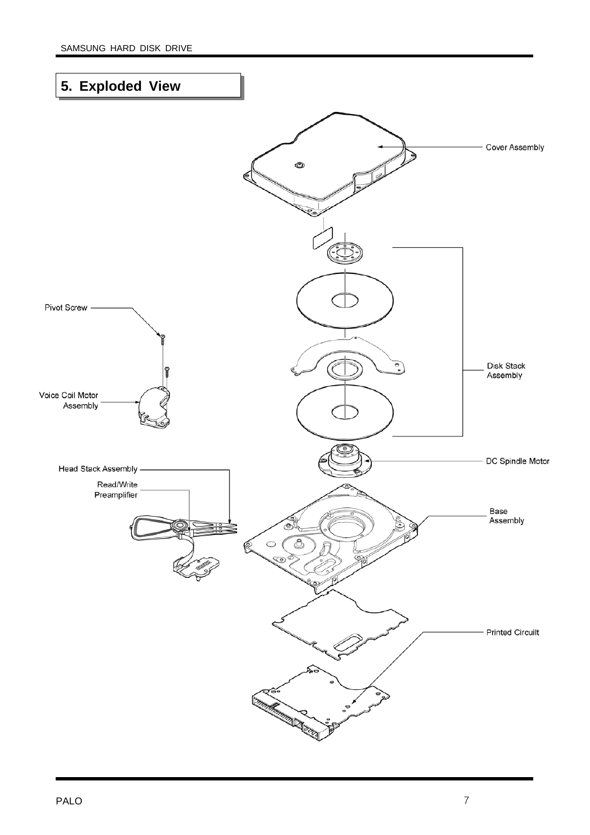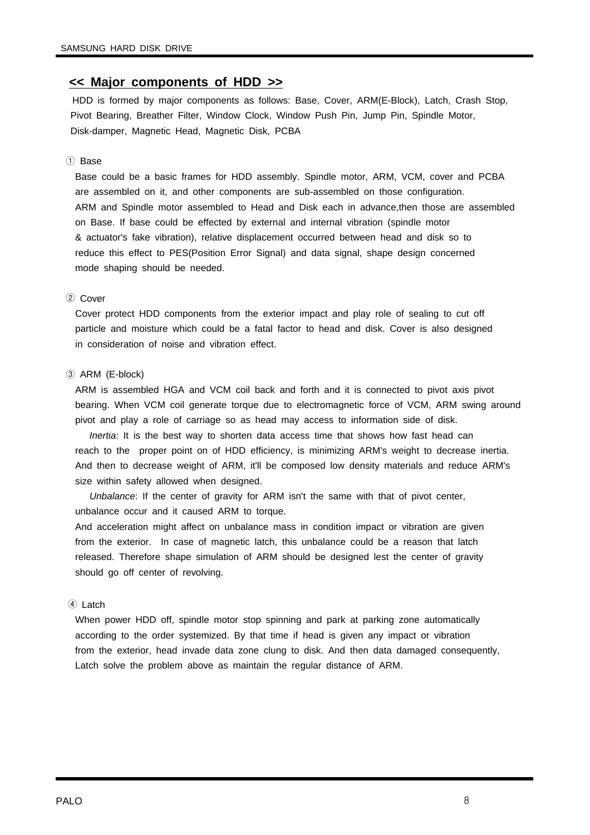#### **<< Major components of HDD >>**

HDD is formed by major components as follows: Base, Cover, ARM(E-Block), Latch, Crash Stop, Pivot Bearing, Breather Filter, Window Clock, Window Push Pin, Jump Pin, Spindle Motor, Disk-damper, Magnetic Head, Magnetic Disk, PCBA

#### ① Base

Base could be a basic frames for HDD assembly. Spindle motor, ARM, VCM, cover and PCBA are assembled on it, and other components are sub-assembled on those configuration. ARM and Spindle motor assembled to Head and Disk each in advance,then those are assembled on Base. If base could be effected by external and internal vibration (spindle motor & actuator's fake vibration), relative displacement occurred between head and disk so to reduce this effect to PES(Position Error Signal) and data signal, shape design concerned mode shaping should be needed.

#### ② Cover

Cover protect HDD components from the exterior impact and play role of sealing to cut off particle and moisture which could be a fatal factor to head and disk. Cover is also designed in consideration of noise and vibration effect.

#### ③ ARM (E-block)

ARM is assembled HGA and VCM coil back and forth and it is connected to pivot axis pivot bearing. When VCM coil generate torque due to electromagnetic force of VCM, ARM swing around pivot and play a role of carriage so as head may access to information side of disk.

*Inertia*: It is the best way to shorten data access time that shows how fast head can reach to the proper point on of HDD efficiency, is minimizing ARM's weight to decrease inertia. And then to decrease weight of ARM, it'll be composed low density materials and reduce ARM's size within safety allowed when designed.

*Unbalance*: If the center of gravity for ARM isn't the same with that of pivot center, unbalance occur and it caused ARM to torque.

And acceleration might affect on unbalance mass in condition impact or vibration are given from the exterior. In case of magnetic latch, this unbalance could be a reason that latch released. Therefore shape simulation of ARM should be designed lest the center of gravity should go off center of revolving.

#### ④ Latch

When power HDD off, spindle motor stop spinning and park at parking zone automatically according to the order systemized. By that time if head is given any impact or vibration from the exterior, head invade data zone clung to disk. And then data damaged consequently, Latch solve the problem above as maintain the regular distance of ARM.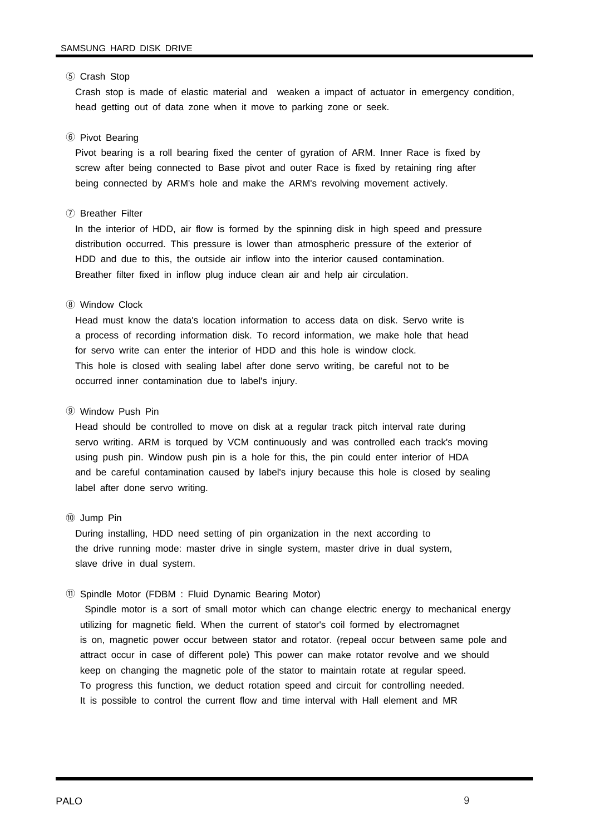#### ⑤ Crash Stop

Crash stop is made of elastic material and weaken a impact of actuator in emergency condition, head getting out of data zone when it move to parking zone or seek.

#### ⑥ Pivot Bearing

Pivot bearing is a roll bearing fixed the center of gyration of ARM. Inner Race is fixed by screw after being connected to Base pivot and outer Race is fixed by retaining ring after being connected by ARM's hole and make the ARM's revolving movement actively.

#### ⑦ Breather Filter

In the interior of HDD, air flow is formed by the spinning disk in high speed and pressure distribution occurred. This pressure is lower than atmospheric pressure of the exterior of HDD and due to this, the outside air inflow into the interior caused contamination. Breather filter fixed in inflow plug induce clean air and help air circulation.

#### ⑧ Window Clock

Head must know the data's location information to access data on disk. Servo write is a process of recording information disk. To record information, we make hole that head for servo write can enter the interior of HDD and this hole is window clock. This hole is closed with sealing label after done servo writing, be careful not to be occurred inner contamination due to label's injury.

#### ⑨ Window Push Pin

Head should be controlled to move on disk at a regular track pitch interval rate during servo writing. ARM is torqued by VCM continuously and was controlled each track's moving using push pin. Window push pin is a hole for this, the pin could enter interior of HDA and be careful contamination caused by label's injury because this hole is closed by sealing label after done servo writing.

#### ⑩ Jump Pin

During installing, HDD need setting of pin organization in the next according to the drive running mode: master drive in single system, master drive in dual system, slave drive in dual system.

#### ⑪ Spindle Motor (FDBM : Fluid Dynamic Bearing Motor)

Spindle motor is a sort of small motor which can change electric energy to mechanical energy utilizing for magnetic field. When the current of stator's coil formed by electromagnet is on, magnetic power occur between stator and rotator. (repeal occur between same pole and attract occur in case of different pole) This power can make rotator revolve and we should keep on changing the magnetic pole of the stator to maintain rotate at regular speed. To progress this function, we deduct rotation speed and circuit for controlling needed. It is possible to control the current flow and time interval with Hall element and MR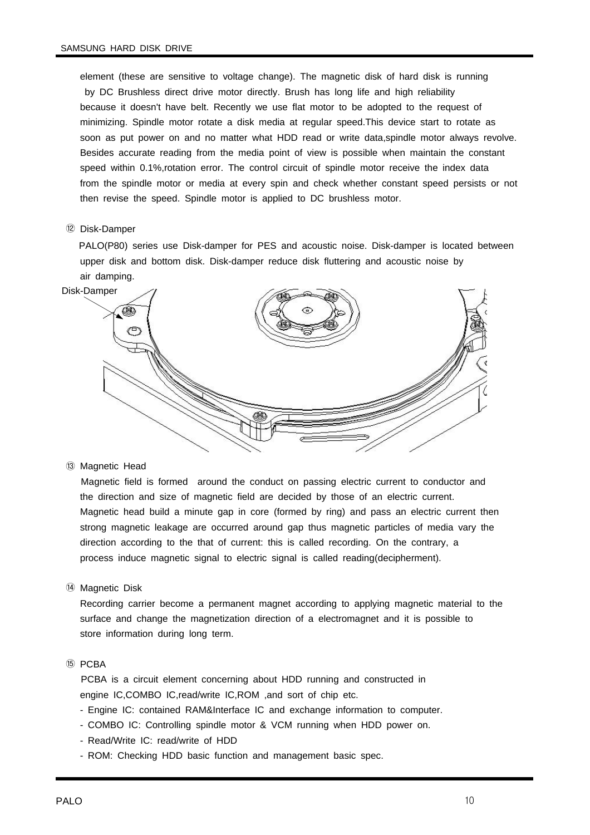element (these are sensitive to voltage change). The magnetic disk of hard disk is running by DC Brushless direct drive motor directly. Brush has long life and high reliability because it doesn't have belt. Recently we use flat motor to be adopted to the request of minimizing. Spindle motor rotate a disk media at regular speed.This device start to rotate as soon as put power on and no matter what HDD read or write data,spindle motor always revolve. Besides accurate reading from the media point of view is possible when maintain the constant speed within 0.1%,rotation error. The control circuit of spindle motor receive the index data from the spindle motor or media at every spin and check whether constant speed persists or not then revise the speed. Spindle motor is applied to DC brushless motor.

#### ⑫ Disk-Damper

PALO(P80) series use Disk-damper for PES and acoustic noise. Disk-damper is located between upper disk and bottom disk. Disk-damper reduce disk fluttering and acoustic noise by air damping.



⑬ Magnetic Head

Magnetic field is formed around the conduct on passing electric current to conductor and the direction and size of magnetic field are decided by those of an electric current. Magnetic head build a minute gap in core (formed by ring) and pass an electric current then strong magnetic leakage are occurred around gap thus magnetic particles of media vary the direction according to the that of current: this is called recording. On the contrary, a process induce magnetic signal to electric signal is called reading(decipherment).

⑭ Magnetic Disk

Recording carrier become a permanent magnet according to applying magnetic material to the surface and change the magnetization direction of a electromagnet and it is possible to store information during long term.

#### ⑮ PCBA

PCBA is a circuit element concerning about HDD running and constructed in engine IC,COMBO IC,read/write IC,ROM ,and sort of chip etc.

- Engine IC: contained RAM&Interface IC and exchange information to computer.
- COMBO IC: Controlling spindle motor & VCM running when HDD power on.
- Read/Write IC: read/write of HDD
- ROM: Checking HDD basic function and management basic spec.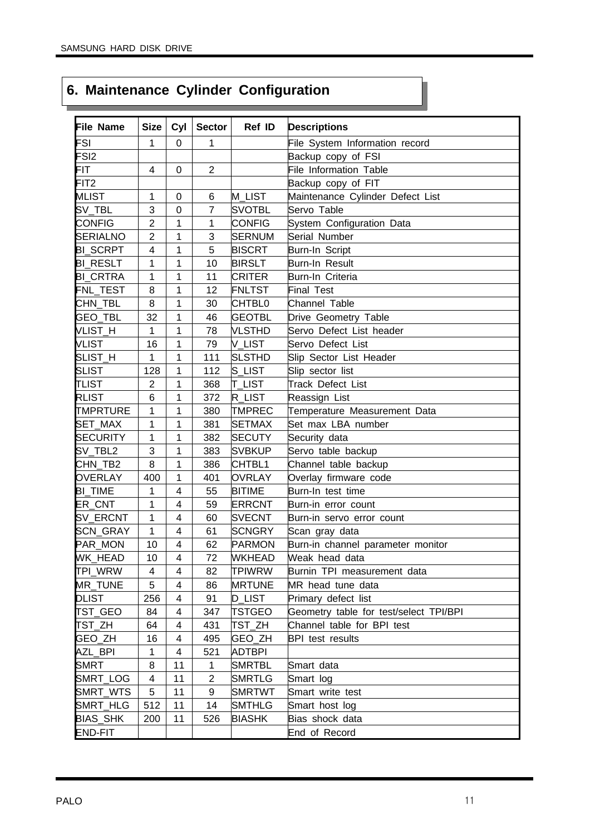## **6. Maintenance Cylinder Configuration**

| <b>File Name</b> | <b>Size</b>    | Cyl                      | <b>Sector</b>  | Ref ID        | <b>Descriptions</b>                    |
|------------------|----------------|--------------------------|----------------|---------------|----------------------------------------|
| FSI              | 1              | $\mathbf 0$              | 1              |               | File System Information record         |
| FSI <sub>2</sub> |                |                          |                |               | Backup copy of FSI                     |
| FIT              | 4              | 0                        | $\overline{2}$ |               | File Information Table                 |
| FIT <sub>2</sub> |                |                          |                |               | Backup copy of FIT                     |
| <b>MLIST</b>     | 1              | $\mathbf 0$              | 6              | <b>M_LIST</b> | Maintenance Cylinder Defect List       |
| SV_TBL           | 3              | $\mathbf 0$              | $\overline{7}$ | <b>SVOTBL</b> | Servo Table                            |
| <b>CONFIG</b>    | $\overline{2}$ | $\mathbf{1}$             | $\mathbf{1}$   | <b>CONFIG</b> | System Configuration Data              |
| <b>SERIALNO</b>  | $\overline{2}$ | 1                        | 3              | <b>SERNUM</b> | Serial Number                          |
| <b>BI_SCRPT</b>  | $\overline{4}$ | $\mathbf{1}$             | 5              | <b>BISCRT</b> | Burn-In Script                         |
| <b>BI_RESLT</b>  | 1              | 1                        | 10             | <b>BIRSLT</b> | Burn-In Result                         |
| <b>BI_CRTRA</b>  | 1              | 1                        | 11             | <b>CRITER</b> | Burn-In Criteria                       |
| FNL_TEST         | 8              | 1                        | 12             | <b>FNLTST</b> | <b>Final Test</b>                      |
| CHN_TBL          | 8              | $\mathbf{1}$             | 30             | CHTBL0        | <b>Channel Table</b>                   |
| GEO_TBL          | 32             | 1                        | 46             | <b>GEOTBL</b> | Drive Geometry Table                   |
| VLIST_H          | $\mathbf{1}$   | 1                        | 78             | <b>VLSTHD</b> | Servo Defect List header               |
| <b>VLIST</b>     | 16             | 1                        | 79             | V_LIST        | Servo Defect List                      |
| SLIST_H          | 1              | 1                        | 111            | <b>SLSTHD</b> | Slip Sector List Header                |
| <b>SLIST</b>     | 128            | 1                        | 112            | S_LIST        | Slip sector list                       |
| <b>TLIST</b>     | $\overline{2}$ | 1                        | 368            | <b>T_LIST</b> | <b>Track Defect List</b>               |
| <b>RLIST</b>     | 6              | 1                        | 372            | R_LIST        | Reassign List                          |
| <b>TMPRTURE</b>  | $\mathbf 1$    | $\mathbf{1}$             | 380            | TMPREC        | Temperature Measurement Data           |
| SET_MAX          | 1              | 1                        | 381            | <b>SETMAX</b> | Set max LBA number                     |
| <b>SECURITY</b>  | 1              | 1                        | 382            | <b>SECUTY</b> | Security data                          |
| SV_TBL2          | 3              | 1                        | 383            | <b>SVBKUP</b> | Servo table backup                     |
| CHN_TB2          | 8              | 1                        | 386            | CHTBL1        | Channel table backup                   |
| <b>OVERLAY</b>   | 400            | 1                        | 401            | <b>OVRLAY</b> | Overlay firmware code                  |
| <b>BI_TIME</b>   | 1              | $\overline{4}$           | 55             | <b>BITIME</b> | Burn-In test time                      |
| ER_CNT           | 1              | $\overline{4}$           | 59             | <b>ERRCNT</b> | Burn-in error count                    |
| SV_ERCNT         | $\mathbf{1}$   | $\overline{4}$           | 60             | <b>SVECNT</b> | Burn-in servo error count              |
| SCN_GRAY         | $\mathbf{1}$   | $\overline{4}$           | 61             | <b>SCNGRY</b> | Scan gray data                         |
| PAR_MON          | 10             | $\overline{\mathbf{4}}$  | 62             | <b>PARMON</b> | Burn-in channel parameter monitor      |
| WK_HEAD          | 10             | $\overline{4}$           | 72             | <b>WKHEAD</b> | Weak head data                         |
| TPI_WRW          | 4              | 4                        | 82             | <b>TPIWRW</b> | Burnin TPI measurement data            |
| <b>MR TUNE</b>   | 5              | 4                        | 86             | <b>MRTUNE</b> | MR head tune data                      |
| <b>DLIST</b>     | 256            | 4                        | 91             | <b>D_LIST</b> | Primary defect list                    |
| TST_GEO          | 84             | 4                        | 347            | <b>TSTGEO</b> | Geometry table for test/select TPI/BPI |
| TST_ZH           | 64             | $\overline{\mathcal{A}}$ | 431            | TST_ZH        | Channel table for BPI test             |
| GEO_ZH           | 16             | 4                        | 495            | GEO_ZH        | <b>BPI</b> test results                |
| AZL_BPI          | 1              | 4                        | 521            | ADTBPI        |                                        |
| <b>SMRT</b>      | 8              | 11                       | 1              | <b>SMRTBL</b> | Smart data                             |
| SMRT_LOG         | 4              | 11                       | 2              | <b>SMRTLG</b> | Smart log                              |
| SMRT_WTS         | 5              | 11                       | 9              | <b>SMRTWT</b> | Smart write test                       |
| SMRT_HLG         | 512            | 11                       | 14             | <b>SMTHLG</b> | Smart host log                         |
| BIAS_SHK         | 200            | 11                       | 526            | <b>BIASHK</b> | Bias shock data                        |
| END-FIT          |                |                          |                |               | End of Record                          |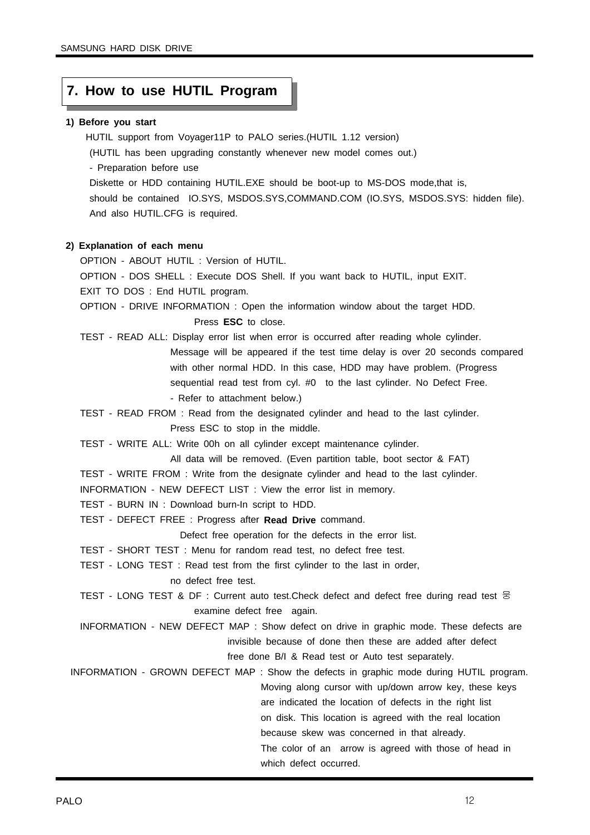## **7. How to use HUTIL Program**

#### **1) Before you start**

HUTIL support from Voyager11P to PALO series.(HUTIL 1.12 version)

(HUTIL has been upgrading constantly whenever new model comes out.)

- Preparation before use

Diskette or HDD containing HUTIL.EXE should be boot-up to MS-DOS mode,that is, should be contained IO.SYS, MSDOS.SYS,COMMAND.COM (IO.SYS, MSDOS.SYS: hidden file). And also HUTIL.CFG is required.

#### **2) Explanation of each menu**

OPTION - ABOUT HUTIL : Version of HUTIL.

OPTION - DOS SHELL : Execute DOS Shell. If you want back to HUTIL, input EXIT.

EXIT TO DOS : End HUTIL program.

OPTION - DRIVE INFORMATION : Open the information window about the target HDD. Press **ESC** to close.

TEST - READ ALL: Display error list when error is occurred after reading whole cylinder. Message will be appeared if the test time delay is over 20 seconds compared with other normal HDD. In this case, HDD may have problem. (Progress sequential read test from cyl. #0 to the last cylinder. No Defect Free. - Refer to attachment below.)

TEST - READ FROM : Read from the designated cylinder and head to the last cylinder. Press ESC to stop in the middle.

TEST - WRITE ALL: Write 00h on all cylinder except maintenance cylinder.

All data will be removed. (Even partition table, boot sector & FAT)

TEST - WRITE FROM : Write from the designate cylinder and head to the last cylinder.

INFORMATION - NEW DEFECT LIST : View the error list in memory.

TEST - BURN IN : Download burn-In script to HDD.

TEST - DEFECT FREE : Progress after **Read Drive** command.

Defect free operation for the defects in the error list.

TEST - SHORT TEST : Menu for random read test, no defect free test.

TEST - LONG TEST : Read test from the first cylinder to the last in order,

no defect free test.

TEST - LONG TEST & DF : Current auto test. Check defect and defect free during read test  $\Xi$ examine defect free again.

INFORMATION - NEW DEFECT MAP : Show defect on drive in graphic mode. These defects are invisible because of done then these are added after defect free done B/I & Read test or Auto test separately.

INFORMATION - GROWN DEFECT MAP : Show the defects in graphic mode during HUTIL program. Moving along cursor with up/down arrow key, these keys are indicated the location of defects in the right list on disk. This location is agreed with the real location because skew was concerned in that already. The color of an arrow is agreed with those of head in

which defect occurred.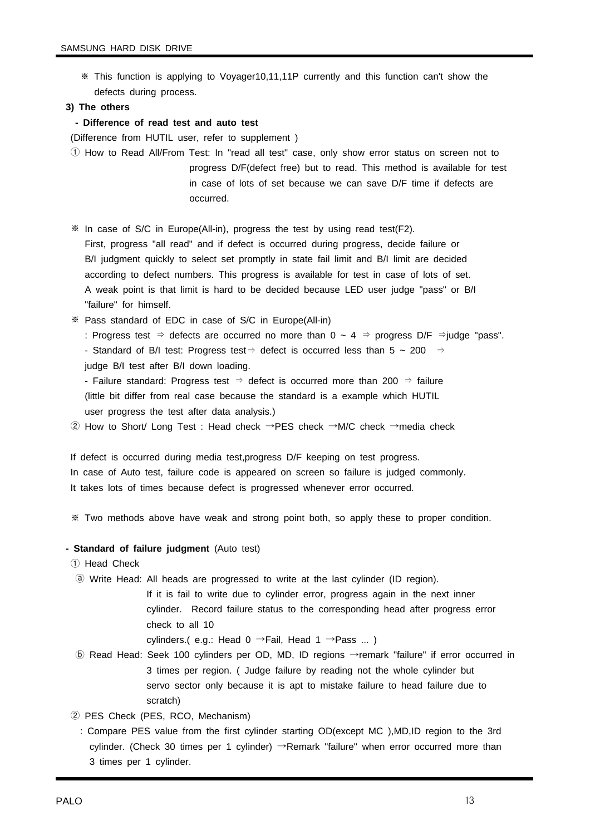"failure" for himself.

※ This function is applying to Voyager10,11,11P currently and this function can't show the defects during process.

#### **3) The others**

**- Difference of read test and auto test**

(Difference from HUTIL user, refer to supplement )

- ① How to Read All/From Test: In "read all test" case, only show error status on screen not to progress D/F(defect free) but to read. This method is available for test in case of lots of set because we can save D/F time if defects are occurred.
- ※ In case of S/C in Europe(All-in), progress the test by using read test(F2). First, progress "all read" and if defect is occurred during progress, decide failure or B/I judgment quickly to select set promptly in state fail limit and B/I limit are decided according to defect numbers. This progress is available for test in case of lots of set. A weak point is that limit is hard to be decided because LED user judge "pass" or B/I
- ※ Pass standard of EDC in case of S/C in Europe(All-in)
	- : Progress test ⇒ defects are occurred no more than 0 ~ 4 ⇒ progress D/F ⇒judge "pass".
	- Standard of B/I test: Progress test  $\Rightarrow$  defect is occurred less than 5 ~ 200  $\Rightarrow$ judge B/I test after B/I down loading.
	- Failure standard: Progress test  $\Rightarrow$  defect is occurred more than 200  $\Rightarrow$  failure (little bit differ from real case because the standard is a example which HUTIL user progress the test after data analysis.)
- ② How to Short/ Long Test : Head check →PES check →M/C check →media check

If defect is occurred during media test,progress D/F keeping on test progress. In case of Auto test, failure code is appeared on screen so failure is judged commonly. It takes lots of times because defect is progressed whenever error occurred.

※ Two methods above have weak and strong point both, so apply these to proper condition.

#### **- Standard of failure judgment** (Auto test)

- ① Head Check
- ⓐ Write Head: All heads are progressed to write at the last cylinder (ID region).
	- If it is fail to write due to cylinder error, progress again in the next inner cylinder. Record failure status to the corresponding head after progress error check to all 10

cylinders.( e.g.: Head  $0 \rightarrow$ Fail, Head  $1 \rightarrow$ Pass ...)

- ⓑ Read Head: Seek 100 cylinders per OD, MD, ID regions →remark "failure" if error occurred in 3 times per region. ( Judge failure by reading not the whole cylinder but servo sector only because it is apt to mistake failure to head failure due to scratch)
- ② PES Check (PES, RCO, Mechanism)
	- : Compare PES value from the first cylinder starting OD(except MC ),MD,ID region to the 3rd cylinder. (Check 30 times per 1 cylinder) →Remark "failure" when error occurred more than 3 times per 1 cylinder.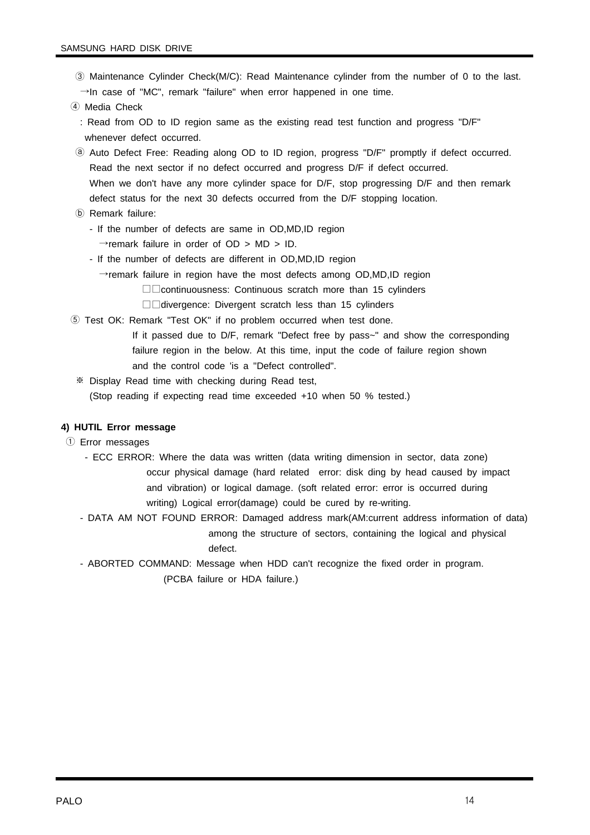- ③ Maintenance Cylinder Check(M/C): Read Maintenance cylinder from the number of 0 to the last.  $\rightarrow$ In case of "MC", remark "failure" when error happened in one time.
- ④ Media Check
	- : Read from OD to ID region same as the existing read test function and progress "D/F" whenever defect occurred.
- ⓐ Auto Defect Free: Reading along OD to ID region, progress "D/F" promptly if defect occurred. Read the next sector if no defect occurred and progress D/F if defect occurred. When we don't have any more cylinder space for D/F, stop progressing D/F and then remark defect status for the next 30 defects occurred from the D/F stopping location.
- ⓑ Remark failure:
	- If the number of defects are same in OD,MD,ID region
	- $\rightarrow$ remark failure in order of OD > MD > ID.
	- If the number of defects are different in OD,MD,ID region
		- $\rightarrow$ remark failure in region have the most defects among OD,MD,ID region
			- □□continuousness: Continuous scratch more than 15 cylinders
			- □□divergence: Divergent scratch less than 15 cylinders
- ⑤ Test OK: Remark "Test OK" if no problem occurred when test done.
	- If it passed due to D/F, remark "Defect free by pass~" and show the corresponding failure region in the below. At this time, input the code of failure region shown and the control code 'is a "Defect controlled".
	- ※ Display Read time with checking during Read test, (Stop reading if expecting read time exceeded +10 when 50 % tested.)

#### **4) HUTIL Error message**

- ① Error messages
	- ECC ERROR: Where the data was written (data writing dimension in sector, data zone) occur physical damage (hard related error: disk ding by head caused by impact and vibration) or logical damage. (soft related error: error is occurred during writing) Logical error(damage) could be cured by re-writing.
	- DATA AM NOT FOUND ERROR: Damaged address mark(AM:current address information of data) among the structure of sectors, containing the logical and physical defect.
	- ABORTED COMMAND: Message when HDD can't recognize the fixed order in program. (PCBA failure or HDA failure.)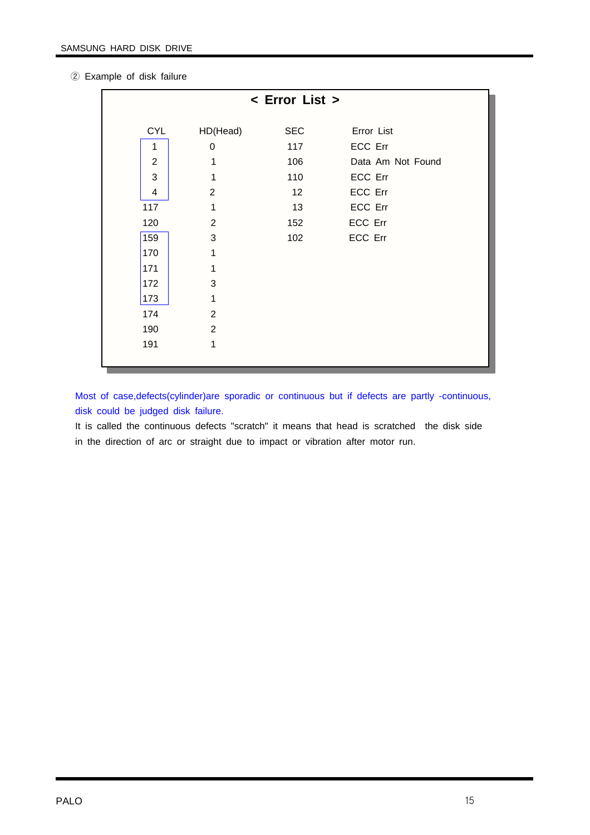② Example of disk failure

| < Error List >          |                |            |                   |  |  |
|-------------------------|----------------|------------|-------------------|--|--|
| <b>CYL</b>              | HD(Head)       | <b>SEC</b> | Error List        |  |  |
|                         |                |            |                   |  |  |
| 1                       | $\mathbf 0$    | 117        | ECC Err           |  |  |
| $\overline{2}$          | 1              | 106        | Data Am Not Found |  |  |
| 3                       | 1              | 110        | ECC Err           |  |  |
| $\overline{\mathbf{4}}$ | 2              | 12         | ECC Err           |  |  |
| 117                     | 1              | 13         | ECC Err           |  |  |
| 120                     | $\overline{2}$ | 152        | ECC Err           |  |  |
| 159                     | 3              | 102        | ECC Err           |  |  |
| 170                     | 1              |            |                   |  |  |
| 171                     | 1              |            |                   |  |  |
| 172                     | 3              |            |                   |  |  |
| 173                     | 1              |            |                   |  |  |
| 174                     | 2              |            |                   |  |  |
| 190                     | 2              |            |                   |  |  |
| 191                     | 1              |            |                   |  |  |
|                         |                |            |                   |  |  |

Most of case,defects(cylinder)are sporadic or continuous but if defects are partly -continuous, disk could be judged disk failure.

It is called the continuous defects "scratch" it means that head is scratched the disk side in the direction of arc or straight due to impact or vibration after motor run.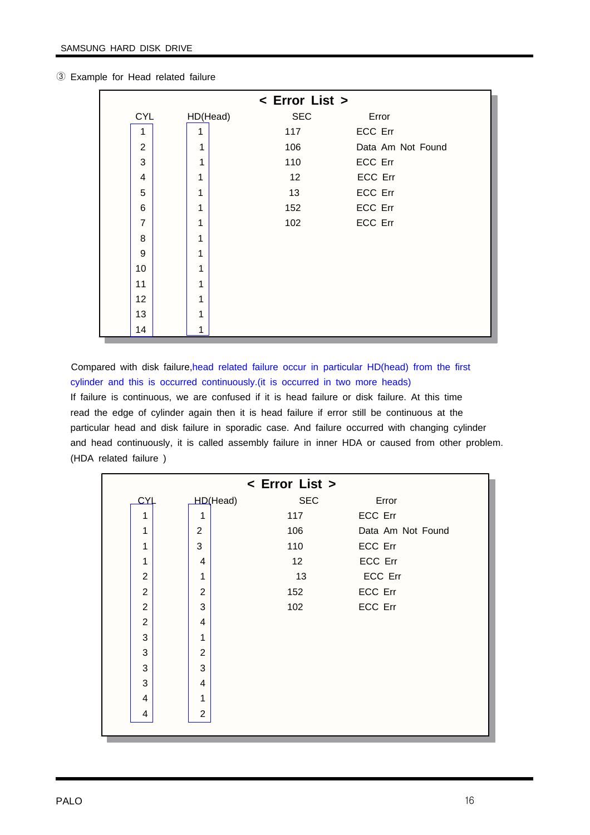|                | < Error List > |                 |         |                   |  |  |  |
|----------------|----------------|-----------------|---------|-------------------|--|--|--|
| <b>CYL</b>     | HD(Head)       | <b>SEC</b>      | Error   |                   |  |  |  |
| 1              | 1              | 117             | ECC Err |                   |  |  |  |
| 2              | 1              | 106             |         | Data Am Not Found |  |  |  |
| 3              | 1              | 110             | ECC Err |                   |  |  |  |
| 4              | 1              | 12 <sup>°</sup> | ECC Err |                   |  |  |  |
| 5              | 1              | 13              | ECC Err |                   |  |  |  |
| 6              | 1              | 152             | ECC Err |                   |  |  |  |
| $\overline{7}$ | 1              | 102             | ECC Err |                   |  |  |  |
| 8              | 1              |                 |         |                   |  |  |  |
| 9              | 1              |                 |         |                   |  |  |  |
| 10             | 1              |                 |         |                   |  |  |  |
| 11             | 1              |                 |         |                   |  |  |  |
| 12             | 1              |                 |         |                   |  |  |  |
| 13             | 1              |                 |         |                   |  |  |  |
| 14             | 1              |                 |         |                   |  |  |  |

③ Example for Head related failure

Compared with disk failure,head related failure occur in particular HD(head) from the first cylinder and this is occurred continuously.(it is occurred in two more heads) If failure is continuous, we are confused if it is head failure or disk failure. At this time read the edge of cylinder again then it is head failure if error still be continuous at the particular head and disk failure in sporadic case. And failure occurred with changing cylinder and head continuously, it is called assembly failure in inner HDA or caused from other problem. (HDA related failure )

|                |                | < Error List > |                   |
|----------------|----------------|----------------|-------------------|
| <b>CYL</b>     | HD(Head)       | <b>SEC</b>     | Error             |
| $\mathbf{1}$   | $\mathbf{1}$   | 117            | ECC Err           |
| 1              | $\overline{2}$ | 106            | Data Am Not Found |
| 1              | 3              | 110            | ECC Err           |
| 1              | 4              | 12             | ECC Err           |
| $\overline{2}$ | 1              | 13             | ECC Err           |
| $\overline{2}$ | 2              | 152            | ECC Err           |
| $\overline{2}$ | 3              | 102            | ECC Err           |
| $\overline{2}$ | 4              |                |                   |
| 3              | 1              |                |                   |
| 3              | 2              |                |                   |
| 3              | 3              |                |                   |
| 3              | 4              |                |                   |
| 4              | 1              |                |                   |
| 4              | $\overline{2}$ |                |                   |
|                |                |                |                   |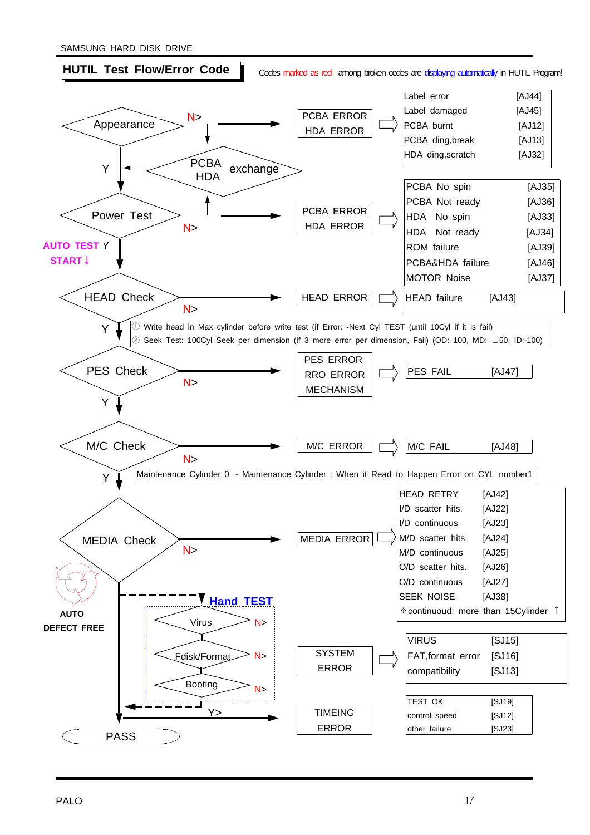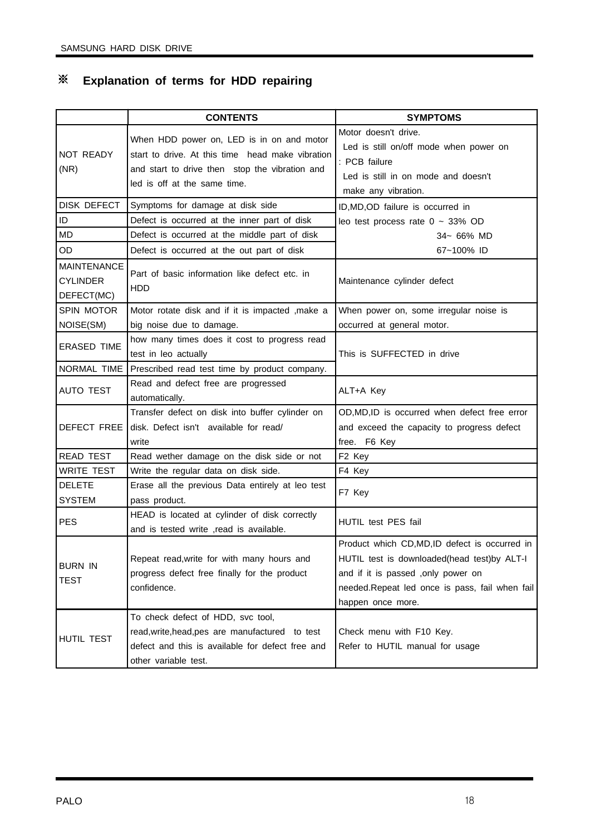## ※ **Explanation of terms for HDD repairing**

|                                                     | <b>CONTENTS</b>                                                                                                                                                                 | <b>SYMPTOMS</b>                                                                                                                                                                                           |  |  |
|-----------------------------------------------------|---------------------------------------------------------------------------------------------------------------------------------------------------------------------------------|-----------------------------------------------------------------------------------------------------------------------------------------------------------------------------------------------------------|--|--|
| <b>NOT READY</b><br>(NR)                            | When HDD power on, LED is in on and motor<br>start to drive. At this time head make vibration<br>and start to drive then stop the vibration and<br>led is off at the same time. | Motor doesn't drive.<br>Led is still on/off mode when power on<br>: PCB failure<br>Led is still in on mode and doesn't<br>make any vibration.                                                             |  |  |
| DISK DEFECT                                         | Symptoms for damage at disk side                                                                                                                                                | ID, MD, OD failure is occurred in                                                                                                                                                                         |  |  |
| ID                                                  | Defect is occurred at the inner part of disk                                                                                                                                    | leo test process rate $0 \sim 33\%$ OD                                                                                                                                                                    |  |  |
| <b>MD</b>                                           | Defect is occurred at the middle part of disk                                                                                                                                   | 34~ 66% MD                                                                                                                                                                                                |  |  |
| OD                                                  | Defect is occurred at the out part of disk                                                                                                                                      | 67~100% ID                                                                                                                                                                                                |  |  |
| <b>MAINTENANCE</b><br><b>CYLINDER</b><br>DEFECT(MC) | Part of basic information like defect etc. in<br>HDD                                                                                                                            | Maintenance cylinder defect                                                                                                                                                                               |  |  |
| <b>SPIN MOTOR</b>                                   | Motor rotate disk and if it is impacted , make a                                                                                                                                | When power on, some irregular noise is                                                                                                                                                                    |  |  |
| NOISE(SM)                                           | big noise due to damage.                                                                                                                                                        | occurred at general motor.                                                                                                                                                                                |  |  |
| <b>ERASED TIME</b>                                  | how many times does it cost to progress read<br>test in leo actually                                                                                                            | This is SUFFECTED in drive                                                                                                                                                                                |  |  |
| NORMAL TIME                                         | Prescribed read test time by product company.                                                                                                                                   |                                                                                                                                                                                                           |  |  |
| <b>AUTO TEST</b>                                    | Read and defect free are progressed<br>automatically.                                                                                                                           | ALT+A Key                                                                                                                                                                                                 |  |  |
| DEFECT FREE                                         | Transfer defect on disk into buffer cylinder on<br>disk. Defect isn't available for read/<br>write                                                                              | OD, MD, ID is occurred when defect free error<br>and exceed the capacity to progress defect<br>free. F6 Key                                                                                               |  |  |
| <b>READ TEST</b>                                    | Read wether damage on the disk side or not                                                                                                                                      | F <sub>2</sub> Key                                                                                                                                                                                        |  |  |
| <b>WRITE TEST</b>                                   | Write the regular data on disk side.                                                                                                                                            | F4 Key                                                                                                                                                                                                    |  |  |
| <b>DELETE</b><br><b>SYSTEM</b>                      | Erase all the previous Data entirely at leo test<br>pass product.                                                                                                               | F7 Key                                                                                                                                                                                                    |  |  |
| <b>PES</b>                                          | HEAD is located at cylinder of disk correctly<br>and is tested write , read is available.                                                                                       | HUTIL test PES fail                                                                                                                                                                                       |  |  |
| <b>BURN IN</b><br>TEST                              | Repeat read, write for with many hours and<br>progress defect free finally for the product<br>confidence.                                                                       | Product which CD,MD,ID defect is occurred in<br>HUTIL test is downloaded(head test)by ALT-I<br>and if it is passed , only power on<br>needed.Repeat led once is pass, fail when fail<br>happen once more. |  |  |
| HUTIL TEST                                          | To check defect of HDD, svc tool,<br>read, write, head, pes are manufactured to test<br>defect and this is available for defect free and<br>other variable test.                | Check menu with F10 Key.<br>Refer to HUTIL manual for usage                                                                                                                                               |  |  |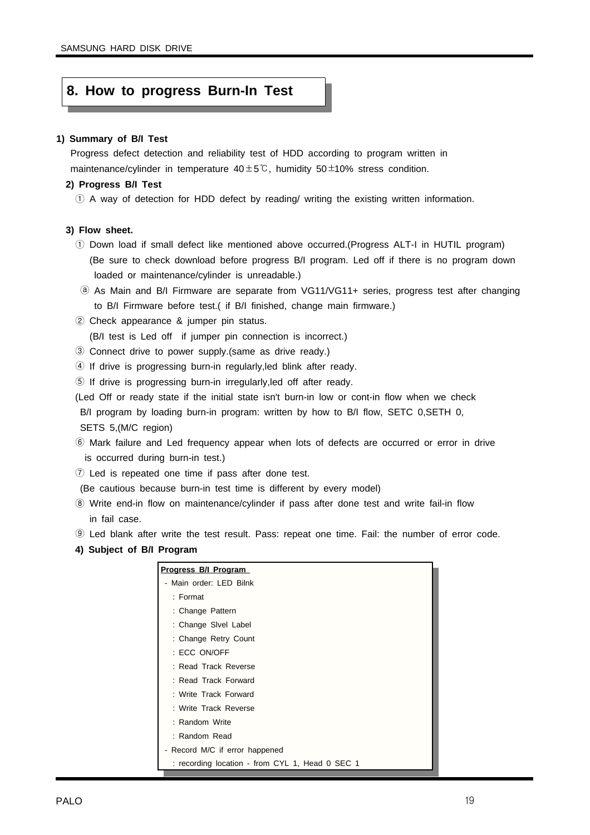## **8. How to progress Burn-In Test**

#### **1) Summary of B/I Test**

Progress defect detection and reliability test of HDD according to program written in maintenance/cylinder in temperature  $40±5^{\circ}$ C, humidity  $50±10\%$  stress condition.

#### **2) Progress B/I Test**

① A way of detection for HDD defect by reading/ writing the existing written information.

#### **3) Flow sheet.**

- ① Down load if small defect like mentioned above occurred.(Progress ALT-I in HUTIL program) (Be sure to check download before progress B/I program. Led off if there is no program down loaded or maintenance/cylinder is unreadable.)
- ⓐ As Main and B/I Firmware are separate from VG11/VG11+ series, progress test after changing to B/I Firmware before test.( if B/I finished, change main firmware.)
- ② Check appearance & jumper pin status.

(B/I test is Led off if jumper pin connection is incorrect.)

- ③ Connect drive to power supply.(same as drive ready.)
- ④ If drive is progressing burn-in regularly,led blink after ready.
- ⑤ If drive is progressing burn-in irregularly,led off after ready.
- (Led Off or ready state if the initial state isn't burn-in low or cont-in flow when we check B/I program by loading burn-in program: written by how to B/I flow, SETC 0, SETH 0, SETS 5,(M/C region)
- ⑥ Mark failure and Led frequency appear when lots of defects are occurred or error in drive is occurred during burn-in test.)
- ⑦ Led is repeated one time if pass after done test.

(Be cautious because burn-in test time is different by every model)

- ⑧ Write end-in flow on maintenance/cylinder if pass after done test and write fail-in flow in fail case.
- ⑨ Led blank after write the test result. Pass: repeat one time. Fail: the number of error code.
- **4) Subject of B/I Program**

| Progress B/I Program                            |
|-------------------------------------------------|
| - Main order: LED Bilnk                         |
| $:$ Format                                      |
| : Change Pattern                                |
| : Change Sivel Label                            |
| : Change Retry Count                            |
| : ECC ON/OFF                                    |
| : Read Track Reverse                            |
| : Read Track Forward                            |
| : Write Track Forward                           |
| : Write Track Reverse                           |
| : Random Write                                  |
| : Random Read                                   |
| - Record M/C if error happened                  |
| : recording location - from CYL 1, Head 0 SEC 1 |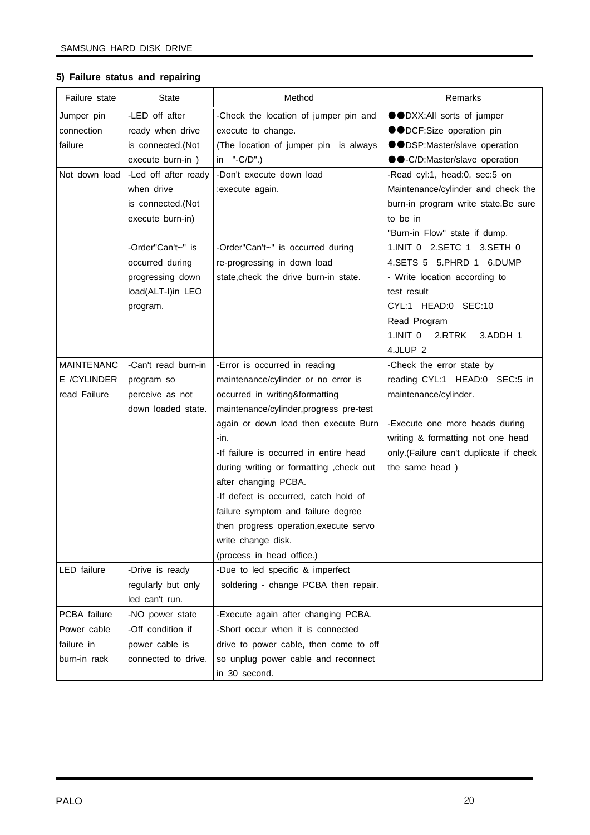| Failure state     | <b>State</b>         | Method                                   | Remarks                                |
|-------------------|----------------------|------------------------------------------|----------------------------------------|
| Jumper pin        | -LED off after       | -Check the location of jumper pin and    | ●●DXX:All sorts of jumper              |
| connection        | ready when drive     | execute to change.                       | ●●DCF:Size operation pin               |
| failure           | is connected.(Not    | (The location of jumper pin is always    | ●●DSP:Master/slave operation           |
|                   | execute burn-in)     | in $"$ -C/D".)                           | ●●-C/D:Master/slave operation          |
| Not down load     | -Led off after ready | -Don't execute down load                 | -Read cyl:1, head:0, sec:5 on          |
|                   | when drive           | :execute again.                          | Maintenance/cylinder and check the     |
|                   | is connected.(Not    |                                          | burn-in program write state.Be sure    |
|                   | execute burn-in)     |                                          | to be in                               |
|                   |                      |                                          | "Burn-in Flow" state if dump.          |
|                   | -Order"Can't~" is    | -Order"Can't~" is occurred during        | 1.INIT 0 2.SETC 1 3.SETH 0             |
|                   | occurred during      | re-progressing in down load              | 4.SETS 5 5.PHRD 1 6.DUMP               |
|                   | progressing down     | state, check the drive burn-in state.    | - Write location according to          |
|                   | load(ALT-I)in LEO    |                                          | test result                            |
|                   | program.             |                                          | CYL:1 HEAD:0 SEC:10                    |
|                   |                      |                                          | Read Program                           |
|                   |                      |                                          | 1.INIT 0<br>2.RTRK<br>3.ADDH 1         |
|                   |                      |                                          | 4.JLUP <sub>2</sub>                    |
| <b>MAINTENANC</b> | -Can't read burn-in  | -Error is occurred in reading            | -Check the error state by              |
| E /CYLINDER       | program so           | maintenance/cylinder or no error is      | reading CYL:1 HEAD:0 SEC:5 in          |
| read Failure      | perceive as not      | occurred in writing&formatting           | maintenance/cylinder.                  |
|                   | down loaded state.   | maintenance/cylinder, progress pre-test  |                                        |
|                   |                      | again or down load then execute Burn     | -Execute one more heads during         |
|                   |                      | -in.                                     | writing & formatting not one head      |
|                   |                      | -If failure is occurred in entire head   | only.(Failure can't duplicate if check |
|                   |                      | during writing or formatting , check out | the same head)                         |
|                   |                      | after changing PCBA.                     |                                        |
|                   |                      | -If defect is occurred, catch hold of    |                                        |
|                   |                      | failure symptom and failure degree       |                                        |
|                   |                      | then progress operation, execute servo   |                                        |
|                   |                      | write change disk.                       |                                        |
|                   |                      | (process in head office.)                |                                        |
| LED failure       | -Drive is ready      | -Due to led specific & imperfect         |                                        |
|                   | regularly but only   | soldering - change PCBA then repair.     |                                        |
|                   | led can't run.       |                                          |                                        |
| PCBA failure      | -NO power state      | -Execute again after changing PCBA.      |                                        |
| Power cable       | -Off condition if    | -Short occur when it is connected        |                                        |
| failure in        | power cable is       | drive to power cable, then come to off   |                                        |
| burn-in rack      | connected to drive.  | so unplug power cable and reconnect      |                                        |
|                   |                      | in 30 second.                            |                                        |

#### **5) Failure status and repairing**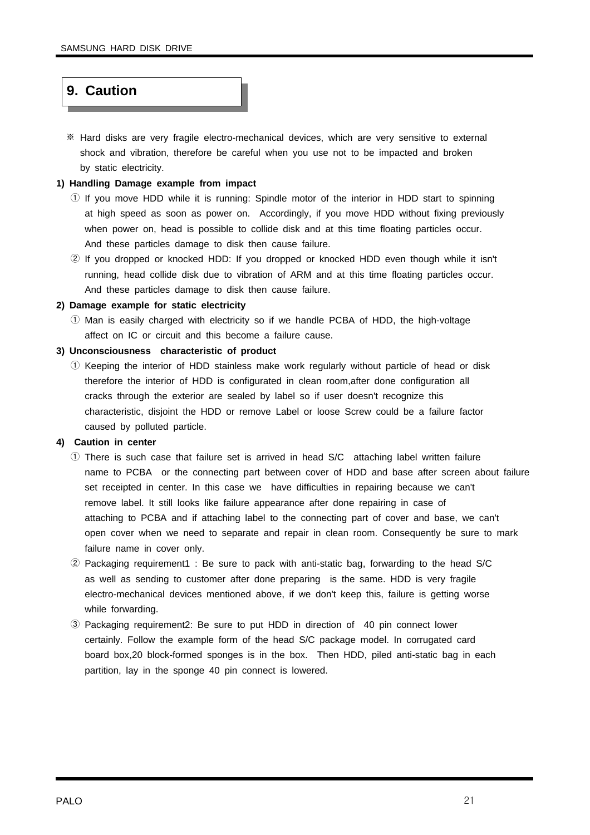## **9. Caution**

※ Hard disks are very fragile electro-mechanical devices, which are very sensitive to external shock and vibration, therefore be careful when you use not to be impacted and broken by static electricity.

#### **1) Handling Damage example from impact**

- $\odot$  If you move HDD while it is running: Spindle motor of the interior in HDD start to spinning at high speed as soon as power on. Accordingly, if you move HDD without fixing previously when power on, head is possible to collide disk and at this time floating particles occur. And these particles damage to disk then cause failure.
- ② If you dropped or knocked HDD: If you dropped or knocked HDD even though while it isn't running, head collide disk due to vibration of ARM and at this time floating particles occur. And these particles damage to disk then cause failure.

#### **2) Damage example for static electricity**

① Man is easily charged with electricity so if we handle PCBA of HDD, the high-voltage affect on IC or circuit and this become a failure cause.

#### **3) Unconsciousness characteristic of product**

① Keeping the interior of HDD stainless make work regularly without particle of head or disk therefore the interior of HDD is configurated in clean room,after done configuration all cracks through the exterior are sealed by label so if user doesn't recognize this characteristic, disjoint the HDD or remove Label or loose Screw could be a failure factor caused by polluted particle.

#### **4) Caution in center**

- ① There is such case that failure set is arrived in head S/C attaching label written failure name to PCBA or the connecting part between cover of HDD and base after screen about failure set receipted in center. In this case we have difficulties in repairing because we can't remove label. It still looks like failure appearance after done repairing in case of attaching to PCBA and if attaching label to the connecting part of cover and base, we can't open cover when we need to separate and repair in clean room. Consequently be sure to mark failure name in cover only.
- ② Packaging requirement1 : Be sure to pack with anti-static bag, forwarding to the head S/C as well as sending to customer after done preparing is the same. HDD is very fragile electro-mechanical devices mentioned above, if we don't keep this, failure is getting worse while forwarding.
- ③ Packaging requirement2: Be sure to put HDD in direction of 40 pin connect lower certainly. Follow the example form of the head S/C package model. In corrugated card board box,20 block-formed sponges is in the box. Then HDD, piled anti-static bag in each partition, lay in the sponge 40 pin connect is lowered.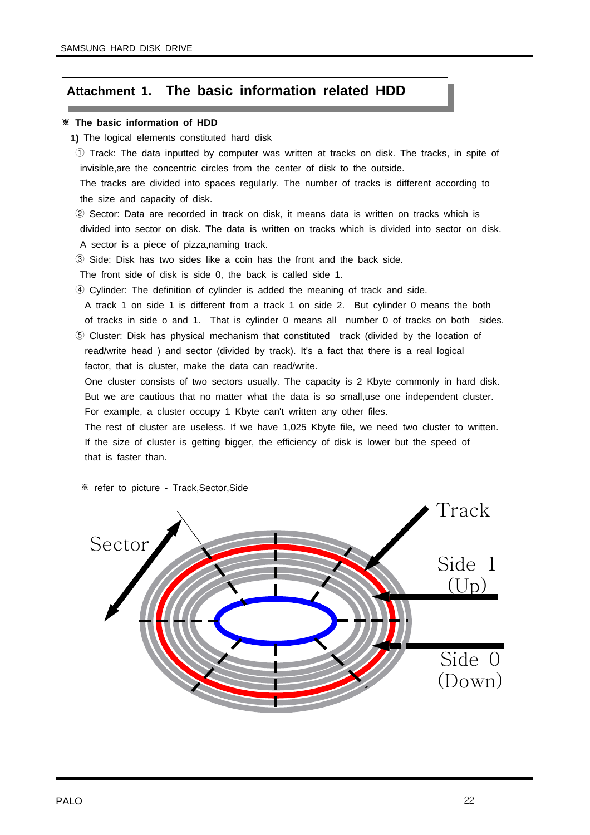## **Attachment 1. The basic information related HDD**

#### ※ **The basic information of HDD**

- **1)** The logical elements constituted hard disk
- ① Track: The data inputted by computer was written at tracks on disk. The tracks, in spite of invisible,are the concentric circles from the center of disk to the outside.

The tracks are divided into spaces regularly. The number of tracks is different according to the size and capacity of disk.

② Sector: Data are recorded in track on disk, it means data is written on tracks which is divided into sector on disk. The data is written on tracks which is divided into sector on disk. A sector is a piece of pizza,naming track.

③ Side: Disk has two sides like a coin has the front and the back side.

The front side of disk is side 0, the back is called side 1.

④ Cylinder: The definition of cylinder is added the meaning of track and side.

A track 1 on side 1 is different from a track 1 on side 2. But cylinder 0 means the both of tracks in side o and 1. That is cylinder 0 means all number 0 of tracks on both sides.

⑤ Cluster: Disk has physical mechanism that constituted track (divided by the location of read/write head ) and sector (divided by track). It's a fact that there is a real logical factor, that is cluster, make the data can read/write.

One cluster consists of two sectors usually. The capacity is 2 Kbyte commonly in hard disk. But we are cautious that no matter what the data is so small,use one independent cluster. For example, a cluster occupy 1 Kbyte can't written any other files.

The rest of cluster are useless. If we have 1,025 Kbyte file, we need two cluster to written. If the size of cluster is getting bigger, the efficiency of disk is lower but the speed of that is faster than.

※ refer to picture - Track,Sector,Side

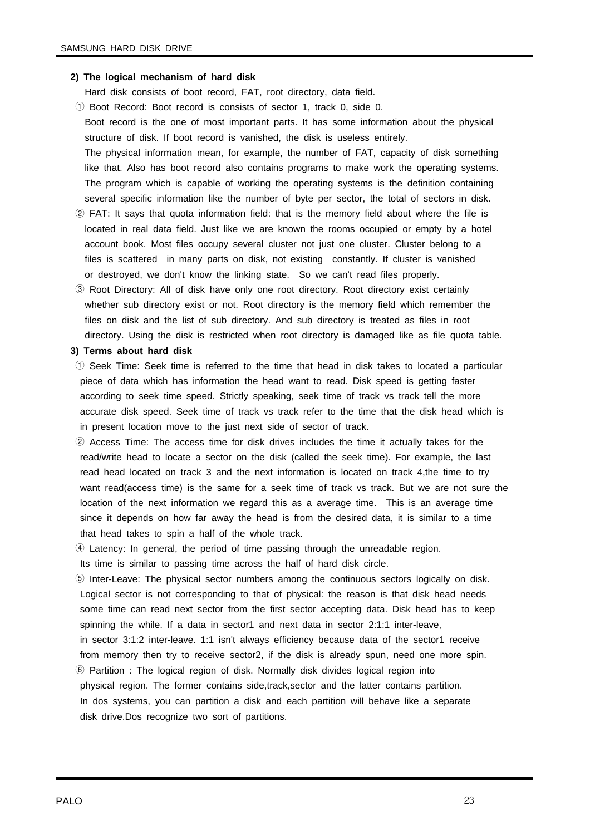#### **2) The logical mechanism of hard disk**

Hard disk consists of boot record, FAT, root directory, data field.

- ① Boot Record: Boot record is consists of sector 1, track 0, side 0. Boot record is the one of most important parts. It has some information about the physical structure of disk. If boot record is vanished, the disk is useless entirely. The physical information mean, for example, the number of FAT, capacity of disk something like that. Also has boot record also contains programs to make work the operating systems. The program which is capable of working the operating systems is the definition containing several specific information like the number of byte per sector, the total of sectors in disk.
- ② FAT: It says that quota information field: that is the memory field about where the file is located in real data field. Just like we are known the rooms occupied or empty by a hotel account book. Most files occupy several cluster not just one cluster. Cluster belong to a files is scattered in many parts on disk, not existing constantly. If cluster is vanished or destroyed, we don't know the linking state. So we can't read files properly.
- ③ Root Directory: All of disk have only one root directory. Root directory exist certainly whether sub directory exist or not. Root directory is the memory field which remember the files on disk and the list of sub directory. And sub directory is treated as files in root directory. Using the disk is restricted when root directory is damaged like as file quota table.

#### **3) Terms about hard disk**

- ① Seek Time: Seek time is referred to the time that head in disk takes to located a particular piece of data which has information the head want to read. Disk speed is getting faster according to seek time speed. Strictly speaking, seek time of track vs track tell the more accurate disk speed. Seek time of track vs track refer to the time that the disk head which is in present location move to the just next side of sector of track.
- ② Access Time: The access time for disk drives includes the time it actually takes for the read/write head to locate a sector on the disk (called the seek time). For example, the last read head located on track 3 and the next information is located on track 4,the time to try want read(access time) is the same for a seek time of track vs track. But we are not sure the location of the next information we regard this as a average time. This is an average time since it depends on how far away the head is from the desired data, it is similar to a time that head takes to spin a half of the whole track.
- ④ Latency: In general, the period of time passing through the unreadable region.

Its time is similar to passing time across the half of hard disk circle.

- ⑤ Inter-Leave: The physical sector numbers among the continuous sectors logically on disk. Logical sector is not corresponding to that of physical: the reason is that disk head needs some time can read next sector from the first sector accepting data. Disk head has to keep spinning the while. If a data in sector1 and next data in sector 2:1:1 inter-leave, in sector 3:1:2 inter-leave. 1:1 isn't always efficiency because data of the sector1 receive from memory then try to receive sector2, if the disk is already spun, need one more spin.
- ⑥ Partition : The logical region of disk. Normally disk divides logical region into physical region. The former contains side,track,sector and the latter contains partition. In dos systems, you can partition a disk and each partition will behave like a separate disk drive.Dos recognize two sort of partitions.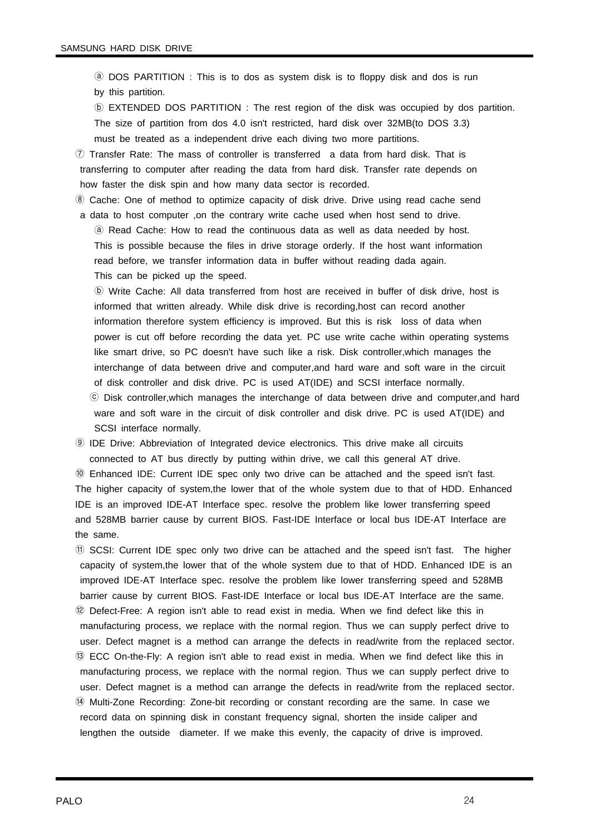ⓐ DOS PARTITION : This is to dos as system disk is to floppy disk and dos is run by this partition. ⓑ EXTENDED DOS PARTITION : The rest region of the disk was occupied by dos partition. The size of partition from dos 4.0 isn't restricted, hard disk over 32MB(to DOS 3.3) must be treated as a independent drive each diving two more partitions. ⑦ Transfer Rate: The mass of controller is transferred a data from hard disk. That is transferring to computer after reading the data from hard disk. Transfer rate depends on how faster the disk spin and how many data sector is recorded.

⑧ Cache: One of method to optimize capacity of disk drive. Drive using read cache send a data to host computer ,on the contrary write cache used when host send to drive. ⓐ Read Cache: How to read the continuous data as well as data needed by host. This is possible because the files in drive storage orderly. If the host want information read before, we transfer information data in buffer without reading dada again. This can be picked up the speed.

ⓑ Write Cache: All data transferred from host are received in buffer of disk drive, host is informed that written already. While disk drive is recording,host can record another information therefore system efficiency is improved. But this is risk loss of data when power is cut off before recording the data yet. PC use write cache within operating systems like smart drive, so PC doesn't have such like a risk. Disk controller,which manages the interchange of data between drive and computer,and hard ware and soft ware in the circuit of disk controller and disk drive. PC is used AT(IDE) and SCSI interface normally. ⓒ Disk controller,which manages the interchange of data between drive and computer,and hard ware and soft ware in the circuit of disk controller and disk drive. PC is used AT(IDE) and SCSI interface normally.

⑨ IDE Drive: Abbreviation of Integrated device electronics. This drive make all circuits connected to AT bus directly by putting within drive, we call this general AT drive.

⑩ Enhanced IDE: Current IDE spec only two drive can be attached and the speed isn't fast. The higher capacity of system,the lower that of the whole system due to that of HDD. Enhanced IDE is an improved IDE-AT Interface spec. resolve the problem like lower transferring speed and 528MB barrier cause by current BIOS. Fast-IDE Interface or local bus IDE-AT Interface are the same.

⑪ SCSI: Current IDE spec only two drive can be attached and the speed isn't fast. The higher capacity of system,the lower that of the whole system due to that of HDD. Enhanced IDE is an improved IDE-AT Interface spec. resolve the problem like lower transferring speed and 528MB barrier cause by current BIOS. Fast-IDE Interface or local bus IDE-AT Interface are the same. ⑫ Defect-Free: A region isn't able to read exist in media. When we find defect like this in manufacturing process, we replace with the normal region. Thus we can supply perfect drive to user. Defect magnet is a method can arrange the defects in read/write from the replaced sector. ⑬ ECC On-the-Fly: A region isn't able to read exist in media. When we find defect like this in manufacturing process, we replace with the normal region. Thus we can supply perfect drive to user. Defect magnet is a method can arrange the defects in read/write from the replaced sector. ⑭ Multi-Zone Recording: Zone-bit recording or constant recording are the same. In case we record data on spinning disk in constant frequency signal, shorten the inside caliper and lengthen the outside diameter. If we make this evenly, the capacity of drive is improved.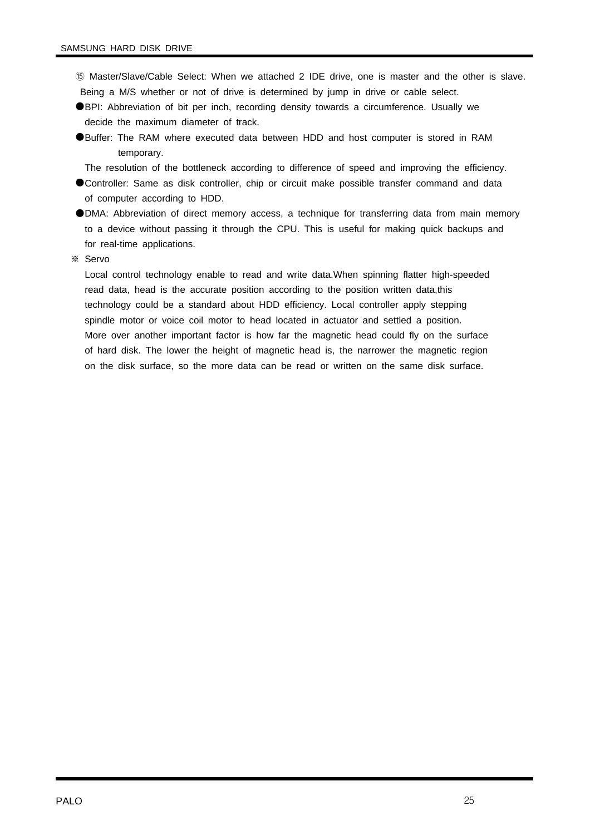- ⑮ Master/Slave/Cable Select: When we attached 2 IDE drive, one is master and the other is slave. Being a M/S whether or not of drive is determined by jump in drive or cable select.
- ●BPI: Abbreviation of bit per inch, recording density towards a circumference. Usually we decide the maximum diameter of track.
- ●Buffer: The RAM where executed data between HDD and host computer is stored in RAM temporary.
	- The resolution of the bottleneck according to difference of speed and improving the efficiency.
- ●Controller: Same as disk controller, chip or circuit make possible transfer command and data of computer according to HDD.
- ●DMA: Abbreviation of direct memory access, a technique for transferring data from main memory to a device without passing it through the CPU. This is useful for making quick backups and for real-time applications.
- ※ Servo

Local control technology enable to read and write data.When spinning flatter high-speeded read data, head is the accurate position according to the position written data,this technology could be a standard about HDD efficiency. Local controller apply stepping spindle motor or voice coil motor to head located in actuator and settled a position. More over another important factor is how far the magnetic head could fly on the surface of hard disk. The lower the height of magnetic head is, the narrower the magnetic region on the disk surface, so the more data can be read or written on the same disk surface.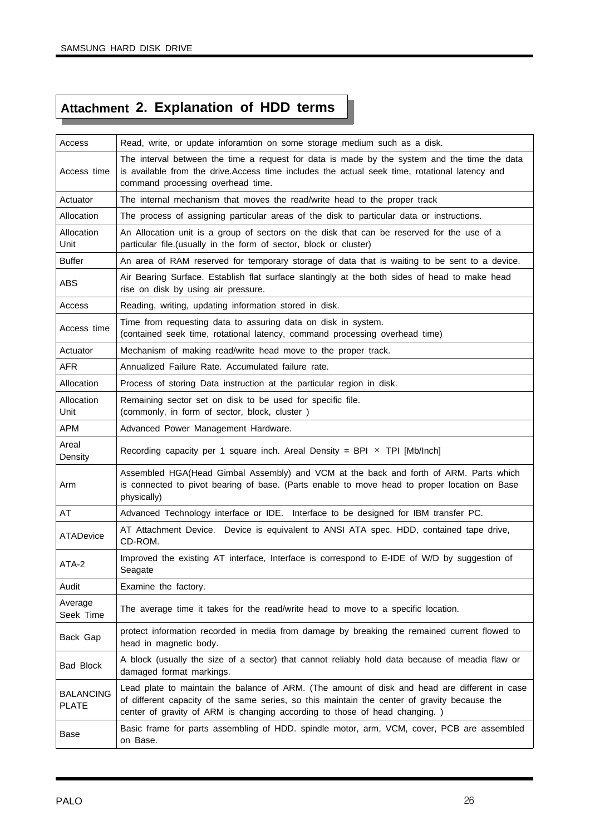## **Attachment 2. Explanation of HDD terms**

| Access                           | Read, write, or update inforamtion on some storage medium such as a disk.                                                                                                                                                                                                   |
|----------------------------------|-----------------------------------------------------------------------------------------------------------------------------------------------------------------------------------------------------------------------------------------------------------------------------|
| Access time                      | The interval between the time a request for data is made by the system and the time the data<br>is available from the drive. Access time includes the actual seek time, rotational latency and<br>command processing overhead time.                                         |
| Actuator                         | The internal mechanism that moves the read/write head to the proper track                                                                                                                                                                                                   |
| Allocation                       | The process of assigning particular areas of the disk to particular data or instructions.                                                                                                                                                                                   |
| Allocation<br>Unit               | An Allocation unit is a group of sectors on the disk that can be reserved for the use of a<br>particular file. (usually in the form of sector, block or cluster)                                                                                                            |
| <b>Buffer</b>                    | An area of RAM reserved for temporary storage of data that is waiting to be sent to a device.                                                                                                                                                                               |
| ABS                              | Air Bearing Surface. Establish flat surface slantingly at the both sides of head to make head<br>rise on disk by using air pressure.                                                                                                                                        |
| Access                           | Reading, writing, updating information stored in disk.                                                                                                                                                                                                                      |
| Access time                      | Time from requesting data to assuring data on disk in system.<br>(contained seek time, rotational latency, command processing overhead time)                                                                                                                                |
| Actuator                         | Mechanism of making read/write head move to the proper track.                                                                                                                                                                                                               |
| <b>AFR</b>                       | Annualized Failure Rate, Accumulated failure rate.                                                                                                                                                                                                                          |
| Allocation                       | Process of storing Data instruction at the particular region in disk.                                                                                                                                                                                                       |
| Allocation<br>Unit               | Remaining sector set on disk to be used for specific file.<br>(commonly, in form of sector, block, cluster)                                                                                                                                                                 |
| <b>APM</b>                       | Advanced Power Management Hardware.                                                                                                                                                                                                                                         |
| Areal<br>Density                 | Recording capacity per 1 square inch. Areal Density = BPI $\times$ TPI [Mb/Inch]                                                                                                                                                                                            |
| Arm                              | Assembled HGA(Head Gimbal Assembly) and VCM at the back and forth of ARM. Parts which<br>is connected to pivot bearing of base. (Parts enable to move head to proper location on Base<br>physically)                                                                        |
| AT                               | Advanced Technology interface or IDE. Interface to be designed for IBM transfer PC.                                                                                                                                                                                         |
| <b>ATADevice</b>                 | AT Attachment Device. Device is equivalent to ANSI ATA spec. HDD, contained tape drive,<br>CD-ROM.                                                                                                                                                                          |
| ATA-2                            | Improved the existing AT interface, Interface is correspond to E-IDE of W/D by suggestion of<br>Seagate                                                                                                                                                                     |
| Audit                            | Examine the factory.                                                                                                                                                                                                                                                        |
| Average<br>Seek Time             | The average time it takes for the read/write head to move to a specific location.                                                                                                                                                                                           |
| Back Gap                         | protect information recorded in media from damage by breaking the remained current flowed to<br>head in magnetic body.                                                                                                                                                      |
| <b>Bad Block</b>                 | A block (usually the size of a sector) that cannot reliably hold data because of meadia flaw or<br>damaged format markings.                                                                                                                                                 |
| <b>BALANCING</b><br><b>PLATE</b> | Lead plate to maintain the balance of ARM. (The amount of disk and head are different in case<br>of different capacity of the same series, so this maintain the center of gravity because the<br>center of gravity of ARM is changing according to those of head changing.) |
| Base                             | Basic frame for parts assembling of HDD. spindle motor, arm, VCM, cover, PCB are assembled<br>on Base.                                                                                                                                                                      |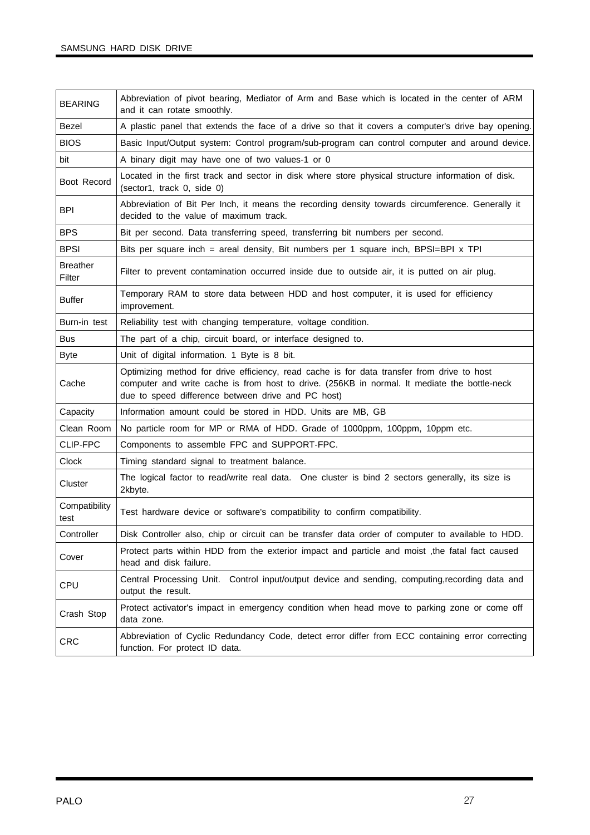| <b>BEARING</b>            | Abbreviation of pivot bearing, Mediator of Arm and Base which is located in the center of ARM<br>and it can rotate smoothly.                                                                                                                     |
|---------------------------|--------------------------------------------------------------------------------------------------------------------------------------------------------------------------------------------------------------------------------------------------|
| Bezel                     | A plastic panel that extends the face of a drive so that it covers a computer's drive bay opening.                                                                                                                                               |
| <b>BIOS</b>               | Basic Input/Output system: Control program/sub-program can control computer and around device.                                                                                                                                                   |
| bit                       | A binary digit may have one of two values-1 or 0                                                                                                                                                                                                 |
| Boot Record               | Located in the first track and sector in disk where store physical structure information of disk.<br>(sector1, track 0, side 0)                                                                                                                  |
| <b>BPI</b>                | Abbreviation of Bit Per Inch, it means the recording density towards circumference. Generally it<br>decided to the value of maximum track.                                                                                                       |
| <b>BPS</b>                | Bit per second. Data transferring speed, transferring bit numbers per second.                                                                                                                                                                    |
| <b>BPSI</b>               | Bits per square inch = areal density, Bit numbers per 1 square inch, BPSI=BPI x TPI                                                                                                                                                              |
| <b>Breather</b><br>Filter | Filter to prevent contamination occurred inside due to outside air, it is putted on air plug.                                                                                                                                                    |
| <b>Buffer</b>             | Temporary RAM to store data between HDD and host computer, it is used for efficiency<br>improvement.                                                                                                                                             |
| Burn-in test              | Reliability test with changing temperature, voltage condition.                                                                                                                                                                                   |
| <b>Bus</b>                | The part of a chip, circuit board, or interface designed to.                                                                                                                                                                                     |
| <b>Byte</b>               | Unit of digital information. 1 Byte is 8 bit.                                                                                                                                                                                                    |
| Cache                     | Optimizing method for drive efficiency, read cache is for data transfer from drive to host<br>computer and write cache is from host to drive. (256KB in normal. It mediate the bottle-neck<br>due to speed difference between drive and PC host) |
| Capacity                  | Information amount could be stored in HDD. Units are MB, GB                                                                                                                                                                                      |
| Clean Room                | No particle room for MP or RMA of HDD. Grade of 1000ppm, 100ppm, 10ppm etc.                                                                                                                                                                      |
| CLIP-FPC                  | Components to assemble FPC and SUPPORT-FPC.                                                                                                                                                                                                      |
| <b>Clock</b>              | Timing standard signal to treatment balance.                                                                                                                                                                                                     |
| Cluster                   | The logical factor to read/write real data. One cluster is bind 2 sectors generally, its size is<br>2kbyte.                                                                                                                                      |
| Compatibility<br>test     | Test hardware device or software's compatibility to confirm compatibility.                                                                                                                                                                       |
| Controller                | Disk Controller also, chip or circuit can be transfer data order of computer to available to HDD.                                                                                                                                                |
| Cover                     | Protect parts within HDD from the exterior impact and particle and moist, the fatal fact caused<br>head and disk failure.                                                                                                                        |
| CPU                       | Central Processing Unit. Control input/output device and sending, computing, recording data and<br>output the result.                                                                                                                            |
| Crash Stop                | Protect activator's impact in emergency condition when head move to parking zone or come off<br>data zone.                                                                                                                                       |
| <b>CRC</b>                | Abbreviation of Cyclic Redundancy Code, detect error differ from ECC containing error correcting<br>function. For protect ID data.                                                                                                               |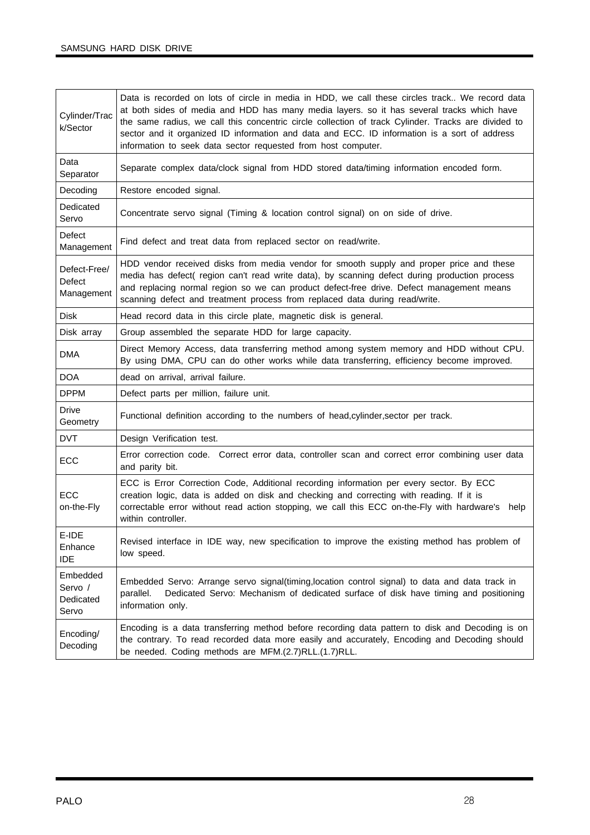| Cylinder/Trac<br>k/Sector                 | Data is recorded on lots of circle in media in HDD, we call these circles track We record data<br>at both sides of media and HDD has many media layers. so it has several tracks which have<br>the same radius, we call this concentric circle collection of track Cylinder. Tracks are divided to<br>sector and it organized ID information and data and ECC. ID information is a sort of address<br>information to seek data sector requested from host computer. |  |
|-------------------------------------------|---------------------------------------------------------------------------------------------------------------------------------------------------------------------------------------------------------------------------------------------------------------------------------------------------------------------------------------------------------------------------------------------------------------------------------------------------------------------|--|
| Data<br>Separator                         | Separate complex data/clock signal from HDD stored data/timing information encoded form.                                                                                                                                                                                                                                                                                                                                                                            |  |
| Decoding                                  | Restore encoded signal.                                                                                                                                                                                                                                                                                                                                                                                                                                             |  |
| Dedicated<br>Servo                        | Concentrate servo signal (Timing & location control signal) on on side of drive.                                                                                                                                                                                                                                                                                                                                                                                    |  |
| Defect<br>Management                      | Find defect and treat data from replaced sector on read/write.                                                                                                                                                                                                                                                                                                                                                                                                      |  |
| Defect-Free/<br>Defect<br>Management      | HDD vendor received disks from media vendor for smooth supply and proper price and these<br>media has defect( region can't read write data), by scanning defect during production process<br>and replacing normal region so we can product defect-free drive. Defect management means<br>scanning defect and treatment process from replaced data during read/write.                                                                                                |  |
| <b>Disk</b>                               | Head record data in this circle plate, magnetic disk is general.                                                                                                                                                                                                                                                                                                                                                                                                    |  |
| Disk array                                | Group assembled the separate HDD for large capacity.                                                                                                                                                                                                                                                                                                                                                                                                                |  |
| DMA                                       | Direct Memory Access, data transferring method among system memory and HDD without CPU.<br>By using DMA, CPU can do other works while data transferring, efficiency become improved.                                                                                                                                                                                                                                                                                |  |
| <b>DOA</b>                                | dead on arrival, arrival failure.                                                                                                                                                                                                                                                                                                                                                                                                                                   |  |
| <b>DPPM</b>                               | Defect parts per million, failure unit.                                                                                                                                                                                                                                                                                                                                                                                                                             |  |
| <b>Drive</b><br>Geometry                  | Functional definition according to the numbers of head, cylinder, sector per track.                                                                                                                                                                                                                                                                                                                                                                                 |  |
| <b>DVT</b>                                | Design Verification test.                                                                                                                                                                                                                                                                                                                                                                                                                                           |  |
| ECC                                       | Error correction code. Correct error data, controller scan and correct error combining user data<br>and parity bit.                                                                                                                                                                                                                                                                                                                                                 |  |
| <b>ECC</b><br>on-the-Fly                  | ECC is Error Correction Code, Additional recording information per every sector. By ECC<br>creation logic, data is added on disk and checking and correcting with reading. If it is<br>correctable error without read action stopping, we call this ECC on-the-Fly with hardware's<br>help<br>within controller.                                                                                                                                                    |  |
| E-IDE<br>Enhance<br><b>IDE</b>            | Revised interface in IDE way, new specification to improve the existing method has problem of<br>low speed.                                                                                                                                                                                                                                                                                                                                                         |  |
| Embedded<br>Servo /<br>Dedicated<br>Servo | Embedded Servo: Arrange servo signal(timing, location control signal) to data and data track in<br>Dedicated Servo: Mechanism of dedicated surface of disk have timing and positioning<br>parallel.<br>information only.                                                                                                                                                                                                                                            |  |
| Encoding/<br>Decoding                     | Encoding is a data transferring method before recording data pattern to disk and Decoding is on<br>the contrary. To read recorded data more easily and accurately, Encoding and Decoding should<br>be needed. Coding methods are MFM.(2.7)RLL.(1.7)RLL.                                                                                                                                                                                                             |  |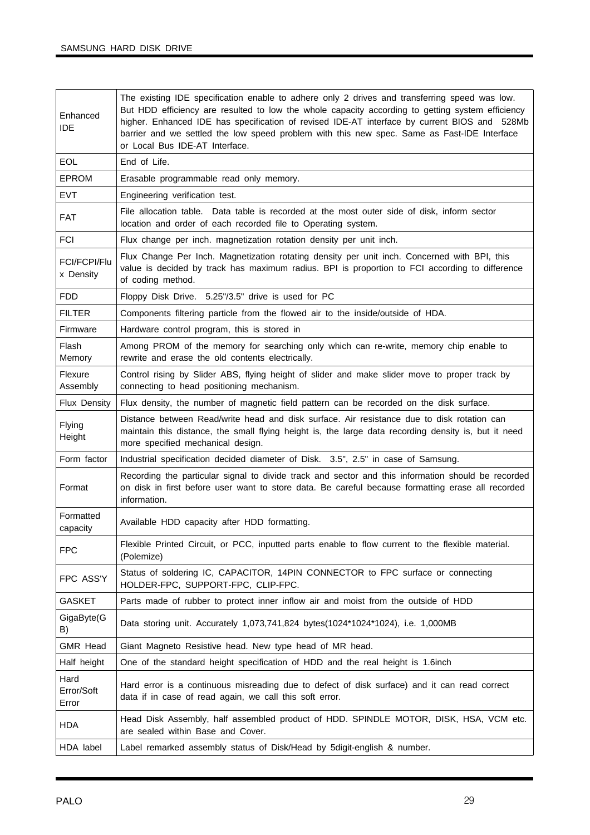| Enhanced<br><b>IDE</b>      | The existing IDE specification enable to adhere only 2 drives and transferring speed was low.<br>But HDD efficiency are resulted to low the whole capacity according to getting system efficiency<br>higher. Enhanced IDE has specification of revised IDE-AT interface by current BIOS and 528Mb<br>barrier and we settled the low speed problem with this new spec. Same as Fast-IDE Interface<br>or Local Bus IDE-AT Interface. |
|-----------------------------|------------------------------------------------------------------------------------------------------------------------------------------------------------------------------------------------------------------------------------------------------------------------------------------------------------------------------------------------------------------------------------------------------------------------------------|
| <b>EOL</b>                  | End of Life.                                                                                                                                                                                                                                                                                                                                                                                                                       |
| <b>EPROM</b>                | Erasable programmable read only memory.                                                                                                                                                                                                                                                                                                                                                                                            |
| <b>EVT</b>                  | Engineering verification test.                                                                                                                                                                                                                                                                                                                                                                                                     |
| <b>FAT</b>                  | File allocation table. Data table is recorded at the most outer side of disk, inform sector<br>location and order of each recorded file to Operating system.                                                                                                                                                                                                                                                                       |
| <b>FCI</b>                  | Flux change per inch. magnetization rotation density per unit inch.                                                                                                                                                                                                                                                                                                                                                                |
| FCI/FCPI/Flu<br>x Density   | Flux Change Per Inch. Magnetization rotating density per unit inch. Concerned with BPI, this<br>value is decided by track has maximum radius. BPI is proportion to FCI according to difference<br>of coding method.                                                                                                                                                                                                                |
| <b>FDD</b>                  | Floppy Disk Drive. 5.25"/3.5" drive is used for PC                                                                                                                                                                                                                                                                                                                                                                                 |
| <b>FILTER</b>               | Components filtering particle from the flowed air to the inside/outside of HDA.                                                                                                                                                                                                                                                                                                                                                    |
| Firmware                    | Hardware control program, this is stored in                                                                                                                                                                                                                                                                                                                                                                                        |
| Flash<br>Memory             | Among PROM of the memory for searching only which can re-write, memory chip enable to<br>rewrite and erase the old contents electrically.                                                                                                                                                                                                                                                                                          |
| Flexure<br>Assembly         | Control rising by Slider ABS, flying height of slider and make slider move to proper track by<br>connecting to head positioning mechanism.                                                                                                                                                                                                                                                                                         |
| Flux Density                | Flux density, the number of magnetic field pattern can be recorded on the disk surface.                                                                                                                                                                                                                                                                                                                                            |
| Flying<br>Height            | Distance between Read/write head and disk surface. Air resistance due to disk rotation can<br>maintain this distance, the small flying height is, the large data recording density is, but it need<br>more specified mechanical design.                                                                                                                                                                                            |
| Form factor                 | Industrial specification decided diameter of Disk. 3.5", 2.5" in case of Samsung.                                                                                                                                                                                                                                                                                                                                                  |
| Format                      | Recording the particular signal to divide track and sector and this information should be recorded<br>on disk in first before user want to store data. Be careful because formatting erase all recorded<br>information.                                                                                                                                                                                                            |
| Formatted<br>capacity       | Available HDD capacity after HDD formatting.                                                                                                                                                                                                                                                                                                                                                                                       |
| <b>FPC</b>                  | Flexible Printed Circuit, or PCC, inputted parts enable to flow current to the flexible material.<br>(Polemize)                                                                                                                                                                                                                                                                                                                    |
| FPC ASS'Y                   | Status of soldering IC, CAPACITOR, 14PIN CONNECTOR to FPC surface or connecting<br>HOLDER-FPC, SUPPORT-FPC, CLIP-FPC.                                                                                                                                                                                                                                                                                                              |
| <b>GASKET</b>               | Parts made of rubber to protect inner inflow air and moist from the outside of HDD                                                                                                                                                                                                                                                                                                                                                 |
| GigaByte(G<br>B)            | Data storing unit. Accurately 1,073,741,824 bytes(1024*1024*1024), i.e. 1,000MB                                                                                                                                                                                                                                                                                                                                                    |
| <b>GMR Head</b>             | Giant Magneto Resistive head. New type head of MR head.                                                                                                                                                                                                                                                                                                                                                                            |
| Half height                 | One of the standard height specification of HDD and the real height is 1.6inch                                                                                                                                                                                                                                                                                                                                                     |
| Hard<br>Error/Soft<br>Error | Hard error is a continuous misreading due to defect of disk surface) and it can read correct<br>data if in case of read again, we call this soft error.                                                                                                                                                                                                                                                                            |
| <b>HDA</b>                  | Head Disk Assembly, half assembled product of HDD. SPINDLE MOTOR, DISK, HSA, VCM etc.<br>are sealed within Base and Cover.                                                                                                                                                                                                                                                                                                         |
| HDA label                   | Label remarked assembly status of Disk/Head by 5digit-english & number.                                                                                                                                                                                                                                                                                                                                                            |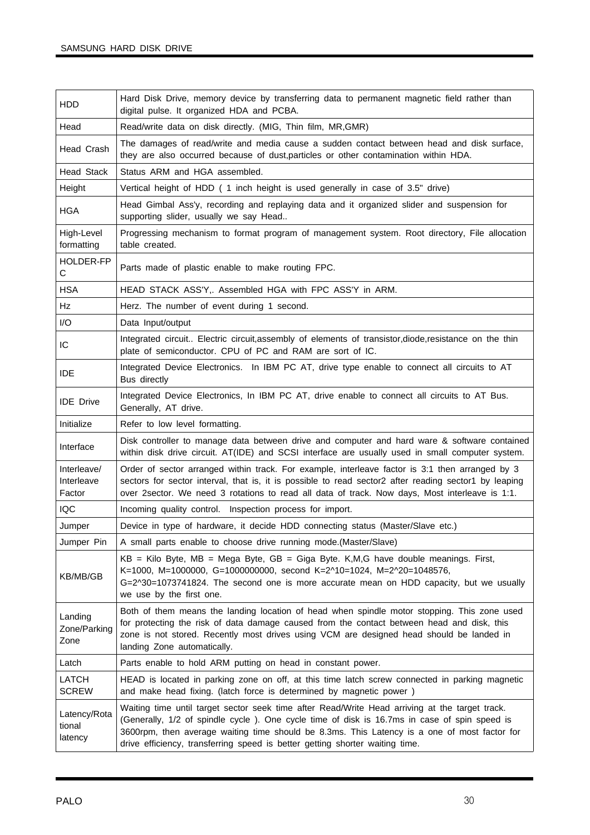| <b>HDD</b>                          | Hard Disk Drive, memory device by transferring data to permanent magnetic field rather than<br>digital pulse. It organized HDA and PCBA.                                                                                                                                                                                                                                       |  |
|-------------------------------------|--------------------------------------------------------------------------------------------------------------------------------------------------------------------------------------------------------------------------------------------------------------------------------------------------------------------------------------------------------------------------------|--|
| Head                                | Read/write data on disk directly. (MIG, Thin film, MR, GMR)                                                                                                                                                                                                                                                                                                                    |  |
| Head Crash                          | The damages of read/write and media cause a sudden contact between head and disk surface,<br>they are also occurred because of dust, particles or other contamination within HDA.                                                                                                                                                                                              |  |
| <b>Head Stack</b>                   | Status ARM and HGA assembled.                                                                                                                                                                                                                                                                                                                                                  |  |
| Height                              | Vertical height of HDD (1 inch height is used generally in case of 3.5" drive)                                                                                                                                                                                                                                                                                                 |  |
| <b>HGA</b>                          | Head Gimbal Ass'y, recording and replaying data and it organized slider and suspension for<br>supporting slider, usually we say Head                                                                                                                                                                                                                                           |  |
| High-Level<br>formatting            | Progressing mechanism to format program of management system. Root directory, File allocation<br>table created.                                                                                                                                                                                                                                                                |  |
| HOLDER-FP<br>$\mathbf C$            | Parts made of plastic enable to make routing FPC.                                                                                                                                                                                                                                                                                                                              |  |
| <b>HSA</b>                          | HEAD STACK ASS'Y,. Assembled HGA with FPC ASS'Y in ARM.                                                                                                                                                                                                                                                                                                                        |  |
| Hz                                  | Herz. The number of event during 1 second.                                                                                                                                                                                                                                                                                                                                     |  |
| I/O                                 | Data Input/output                                                                                                                                                                                                                                                                                                                                                              |  |
| IC                                  | Integrated circuit Electric circuit, assembly of elements of transistor, diode, resistance on the thin<br>plate of semiconductor. CPU of PC and RAM are sort of IC.                                                                                                                                                                                                            |  |
| <b>IDE</b>                          | Integrated Device Electronics. In IBM PC AT, drive type enable to connect all circuits to AT<br>Bus directly                                                                                                                                                                                                                                                                   |  |
| <b>IDE</b> Drive                    | Integrated Device Electronics, In IBM PC AT, drive enable to connect all circuits to AT Bus.<br>Generally, AT drive.                                                                                                                                                                                                                                                           |  |
| Initialize                          | Refer to low level formatting.                                                                                                                                                                                                                                                                                                                                                 |  |
| Interface                           | Disk controller to manage data between drive and computer and hard ware & software contained<br>within disk drive circuit. AT(IDE) and SCSI interface are usually used in small computer system.                                                                                                                                                                               |  |
| Interleave/<br>Interleave<br>Factor | Order of sector arranged within track. For example, interleave factor is 3:1 then arranged by 3<br>sectors for sector interval, that is, it is possible to read sector2 after reading sector1 by leaping<br>over 2sector. We need 3 rotations to read all data of track. Now days, Most interleave is 1:1.                                                                     |  |
| IQC                                 | Incoming quality control. Inspection process for import.                                                                                                                                                                                                                                                                                                                       |  |
| Jumper                              | Device in type of hardware, it decide HDD connecting status (Master/Slave etc.)                                                                                                                                                                                                                                                                                                |  |
| Jumper Pin                          | A small parts enable to choose drive running mode. (Master/Slave)                                                                                                                                                                                                                                                                                                              |  |
| KB/MB/GB                            | $KB = Kilo$ Byte, MB = Mega Byte, GB = Giga Byte. K, M, G have double meanings. First,<br>K=1000, M=1000000, G=1000000000, second K=2^10=1024, M=2^20=1048576,<br>G=2^30=1073741824. The second one is more accurate mean on HDD capacity, but we usually<br>we use by the first one.                                                                                          |  |
| Landing<br>Zone/Parking<br>Zone     | Both of them means the landing location of head when spindle motor stopping. This zone used<br>for protecting the risk of data damage caused from the contact between head and disk, this<br>zone is not stored. Recently most drives using VCM are designed head should be landed in<br>landing Zone automatically.                                                           |  |
| Latch                               | Parts enable to hold ARM putting on head in constant power.                                                                                                                                                                                                                                                                                                                    |  |
| LATCH<br><b>SCREW</b>               | HEAD is located in parking zone on off, at this time latch screw connected in parking magnetic<br>and make head fixing. (latch force is determined by magnetic power)                                                                                                                                                                                                          |  |
| Latency/Rota<br>tional<br>latency   | Waiting time until target sector seek time after Read/Write Head arriving at the target track.<br>(Generally, 1/2 of spindle cycle). One cycle time of disk is 16.7ms in case of spin speed is<br>3600rpm, then average waiting time should be 8.3ms. This Latency is a one of most factor for<br>drive efficiency, transferring speed is better getting shorter waiting time. |  |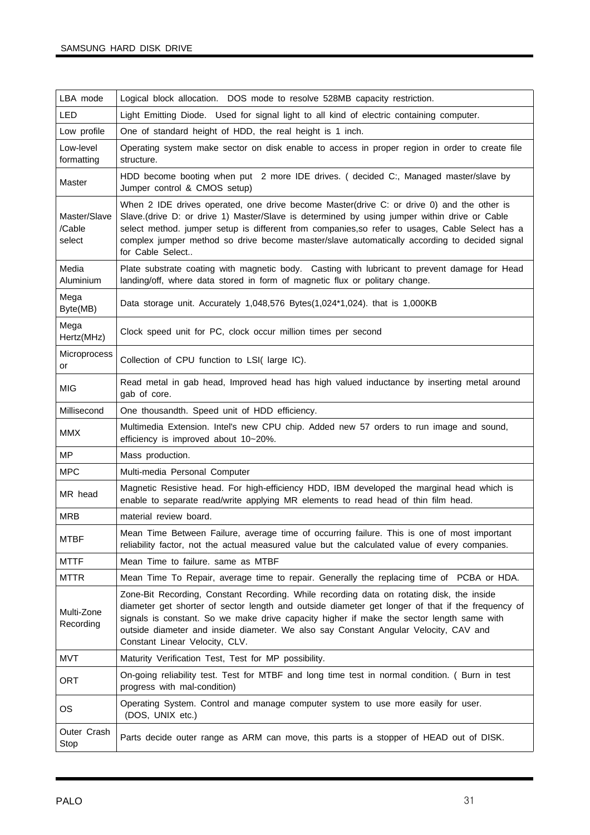| LBA mode                         | Logical block allocation. DOS mode to resolve 528MB capacity restriction.                                                                                                                                                                                                                                                                                                                                             |
|----------------------------------|-----------------------------------------------------------------------------------------------------------------------------------------------------------------------------------------------------------------------------------------------------------------------------------------------------------------------------------------------------------------------------------------------------------------------|
| <b>LED</b>                       | Light Emitting Diode. Used for signal light to all kind of electric containing computer.                                                                                                                                                                                                                                                                                                                              |
| Low profile                      | One of standard height of HDD, the real height is 1 inch.                                                                                                                                                                                                                                                                                                                                                             |
| Low-level<br>formatting          | Operating system make sector on disk enable to access in proper region in order to create file<br>structure.                                                                                                                                                                                                                                                                                                          |
| Master                           | HDD become booting when put 2 more IDE drives. (decided C:, Managed master/slave by<br>Jumper control & CMOS setup)                                                                                                                                                                                                                                                                                                   |
| Master/Slave<br>/Cable<br>select | When 2 IDE drives operated, one drive become Master(drive C: or drive 0) and the other is<br>Slave.(drive D: or drive 1) Master/Slave is determined by using jumper within drive or Cable<br>select method. jumper setup is different from companies, so refer to usages, Cable Select has a<br>complex jumper method so drive become master/slave automatically according to decided signal<br>for Cable Select      |
| Media<br>Aluminium               | Plate substrate coating with magnetic body. Casting with lubricant to prevent damage for Head<br>landing/off, where data stored in form of magnetic flux or politary change.                                                                                                                                                                                                                                          |
| Mega<br>Byte(MB)                 | Data storage unit. Accurately 1,048,576 Bytes(1,024*1,024). that is 1,000KB                                                                                                                                                                                                                                                                                                                                           |
| Mega<br>Hertz(MHz)               | Clock speed unit for PC, clock occur million times per second                                                                                                                                                                                                                                                                                                                                                         |
| Microprocess<br>or               | Collection of CPU function to LSI(large IC).                                                                                                                                                                                                                                                                                                                                                                          |
| <b>MIG</b>                       | Read metal in gab head, Improved head has high valued inductance by inserting metal around<br>gab of core.                                                                                                                                                                                                                                                                                                            |
| Millisecond                      | One thousandth. Speed unit of HDD efficiency.                                                                                                                                                                                                                                                                                                                                                                         |
| <b>MMX</b>                       | Multimedia Extension. Intel's new CPU chip. Added new 57 orders to run image and sound,<br>efficiency is improved about 10~20%.                                                                                                                                                                                                                                                                                       |
| ΜP                               | Mass production.                                                                                                                                                                                                                                                                                                                                                                                                      |
| <b>MPC</b>                       | Multi-media Personal Computer                                                                                                                                                                                                                                                                                                                                                                                         |
| MR head                          | Magnetic Resistive head. For high-efficiency HDD, IBM developed the marginal head which is<br>enable to separate read/write applying MR elements to read head of thin film head.                                                                                                                                                                                                                                      |
| <b>MRB</b>                       | material review board.                                                                                                                                                                                                                                                                                                                                                                                                |
| <b>MTBF</b>                      | Mean Time Between Failure, average time of occurring failure. This is one of most important<br>reliability factor, not the actual measured value but the calculated value of every companies.                                                                                                                                                                                                                         |
| <b>MTTF</b>                      | Mean Time to failure. same as MTBF                                                                                                                                                                                                                                                                                                                                                                                    |
| <b>MTTR</b>                      | Mean Time To Repair, average time to repair. Generally the replacing time of PCBA or HDA.                                                                                                                                                                                                                                                                                                                             |
| Multi-Zone<br>Recording          | Zone-Bit Recording, Constant Recording. While recording data on rotating disk, the inside<br>diameter get shorter of sector length and outside diameter get longer of that if the frequency of<br>signals is constant. So we make drive capacity higher if make the sector length same with<br>outside diameter and inside diameter. We also say Constant Angular Velocity, CAV and<br>Constant Linear Velocity, CLV. |
| <b>MVT</b>                       | Maturity Verification Test, Test for MP possibility.                                                                                                                                                                                                                                                                                                                                                                  |
| ORT                              | On-going reliability test. Test for MTBF and long time test in normal condition. ( Burn in test<br>progress with mal-condition)                                                                                                                                                                                                                                                                                       |
| OS                               | Operating System. Control and manage computer system to use more easily for user.<br>(DOS, UNIX etc.)                                                                                                                                                                                                                                                                                                                 |
| Outer Crash<br>Stop              | Parts decide outer range as ARM can move, this parts is a stopper of HEAD out of DISK.                                                                                                                                                                                                                                                                                                                                |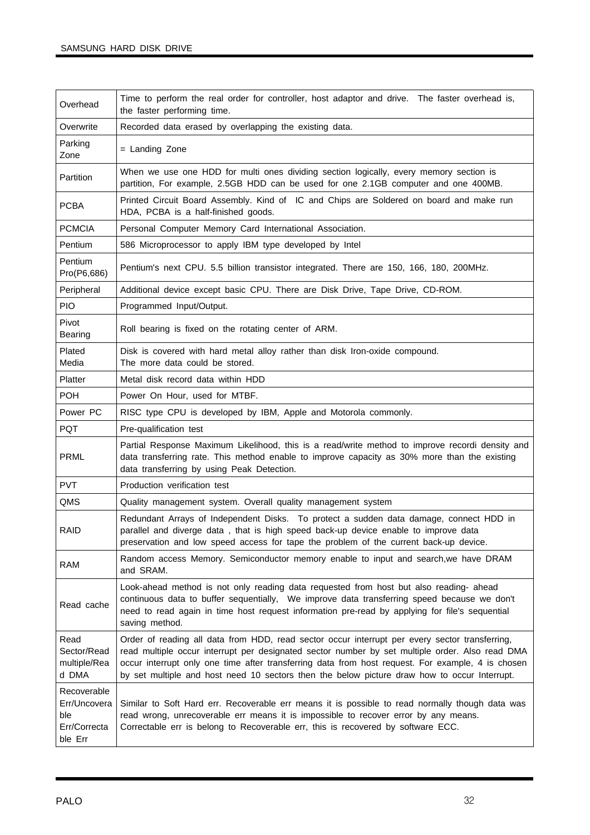| Overhead                                                      | Time to perform the real order for controller, host adaptor and drive. The faster overhead is,<br>the faster performing time.                                                                                                                                                                                                                                                                          |
|---------------------------------------------------------------|--------------------------------------------------------------------------------------------------------------------------------------------------------------------------------------------------------------------------------------------------------------------------------------------------------------------------------------------------------------------------------------------------------|
| Overwrite                                                     | Recorded data erased by overlapping the existing data.                                                                                                                                                                                                                                                                                                                                                 |
| Parking<br>Zone                                               | = Landing Zone                                                                                                                                                                                                                                                                                                                                                                                         |
| Partition                                                     | When we use one HDD for multi ones dividing section logically, every memory section is<br>partition, For example, 2.5GB HDD can be used for one 2.1GB computer and one 400MB.                                                                                                                                                                                                                          |
| <b>PCBA</b>                                                   | Printed Circuit Board Assembly. Kind of IC and Chips are Soldered on board and make run<br>HDA, PCBA is a half-finished goods.                                                                                                                                                                                                                                                                         |
| <b>PCMCIA</b>                                                 | Personal Computer Memory Card International Association.                                                                                                                                                                                                                                                                                                                                               |
| Pentium                                                       | 586 Microprocessor to apply IBM type developed by Intel                                                                                                                                                                                                                                                                                                                                                |
| Pentium<br>Pro(P6,686)                                        | Pentium's next CPU. 5.5 billion transistor integrated. There are 150, 166, 180, 200MHz.                                                                                                                                                                                                                                                                                                                |
| Peripheral                                                    | Additional device except basic CPU. There are Disk Drive, Tape Drive, CD-ROM.                                                                                                                                                                                                                                                                                                                          |
| <b>PIO</b>                                                    | Programmed Input/Output.                                                                                                                                                                                                                                                                                                                                                                               |
| Pivot<br>Bearing                                              | Roll bearing is fixed on the rotating center of ARM.                                                                                                                                                                                                                                                                                                                                                   |
| Plated<br>Media                                               | Disk is covered with hard metal alloy rather than disk Iron-oxide compound.<br>The more data could be stored.                                                                                                                                                                                                                                                                                          |
| Platter                                                       | Metal disk record data within HDD                                                                                                                                                                                                                                                                                                                                                                      |
| <b>POH</b>                                                    | Power On Hour, used for MTBF.                                                                                                                                                                                                                                                                                                                                                                          |
| Power PC                                                      | RISC type CPU is developed by IBM, Apple and Motorola commonly.                                                                                                                                                                                                                                                                                                                                        |
| <b>PQT</b>                                                    | Pre-qualification test                                                                                                                                                                                                                                                                                                                                                                                 |
| PRML                                                          | Partial Response Maximum Likelihood, this is a read/write method to improve recordi density and<br>data transferring rate. This method enable to improve capacity as 30% more than the existing<br>data transferring by using Peak Detection.                                                                                                                                                          |
| <b>PVT</b>                                                    | Production verification test                                                                                                                                                                                                                                                                                                                                                                           |
| QMS                                                           | Quality management system. Overall quality management system                                                                                                                                                                                                                                                                                                                                           |
| RAID                                                          | Redundant Arrays of Independent Disks. To protect a sudden data damage, connect HDD in<br>parallel and diverge data, that is high speed back-up device enable to improve data<br>preservation and low speed access for tape the problem of the current back-up device.                                                                                                                                 |
| RAM                                                           | Random access Memory. Semiconductor memory enable to input and search, we have DRAM<br>and SRAM.                                                                                                                                                                                                                                                                                                       |
| Read cache                                                    | Look-ahead method is not only reading data requested from host but also reading- ahead<br>continuous data to buffer sequentially, We improve data transferring speed because we don't<br>need to read again in time host request information pre-read by applying for file's sequential<br>saving method.                                                                                              |
| Read<br>Sector/Read<br>multiple/Rea<br>d DMA                  | Order of reading all data from HDD, read sector occur interrupt per every sector transferring,<br>read multiple occur interrupt per designated sector number by set multiple order. Also read DMA<br>occur interrupt only one time after transferring data from host request. For example, 4 is chosen<br>by set multiple and host need 10 sectors then the below picture draw how to occur Interrupt. |
| Recoverable<br>Err/Uncovera<br>ble<br>Err/Correcta<br>ble Err | Similar to Soft Hard err. Recoverable err means it is possible to read normally though data was<br>read wrong, unrecoverable err means it is impossible to recover error by any means.<br>Correctable err is belong to Recoverable err, this is recovered by software ECC.                                                                                                                             |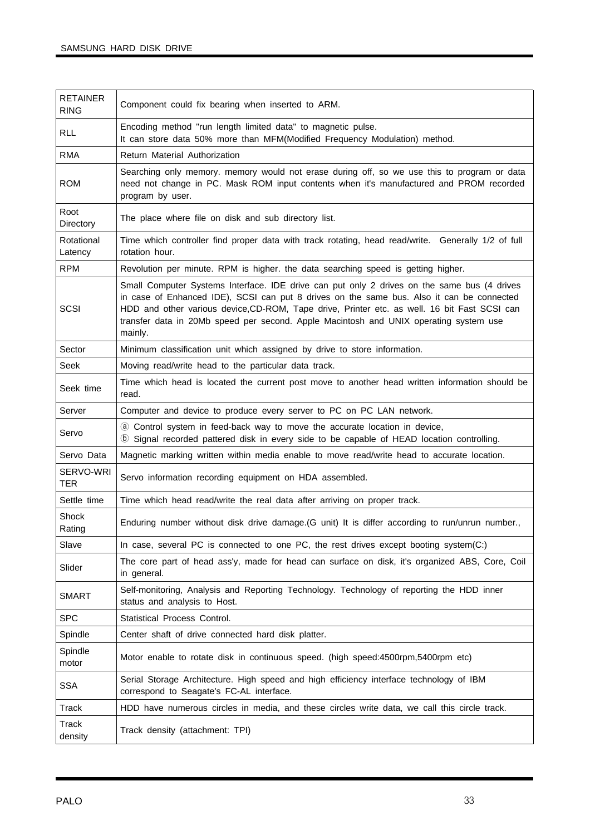| <b>RETAINER</b><br><b>RING</b> | Component could fix bearing when inserted to ARM.                                                                                                                                                                                                                                                                                                                                            |
|--------------------------------|----------------------------------------------------------------------------------------------------------------------------------------------------------------------------------------------------------------------------------------------------------------------------------------------------------------------------------------------------------------------------------------------|
| <b>RLL</b>                     | Encoding method "run length limited data" to magnetic pulse.<br>It can store data 50% more than MFM(Modified Frequency Modulation) method.                                                                                                                                                                                                                                                   |
| <b>RMA</b>                     | Return Material Authorization                                                                                                                                                                                                                                                                                                                                                                |
| <b>ROM</b>                     | Searching only memory. memory would not erase during off, so we use this to program or data<br>need not change in PC. Mask ROM input contents when it's manufactured and PROM recorded<br>program by user.                                                                                                                                                                                   |
| Root<br>Directory              | The place where file on disk and sub directory list.                                                                                                                                                                                                                                                                                                                                         |
| Rotational<br>Latency          | Time which controller find proper data with track rotating, head read/write. Generally 1/2 of full<br>rotation hour.                                                                                                                                                                                                                                                                         |
| <b>RPM</b>                     | Revolution per minute. RPM is higher. the data searching speed is getting higher.                                                                                                                                                                                                                                                                                                            |
| SCSI                           | Small Computer Systems Interface. IDE drive can put only 2 drives on the same bus (4 drives<br>in case of Enhanced IDE), SCSI can put 8 drives on the same bus. Also it can be connected<br>HDD and other various device, CD-ROM, Tape drive, Printer etc. as well. 16 bit Fast SCSI can<br>transfer data in 20Mb speed per second. Apple Macintosh and UNIX operating system use<br>mainly. |
| Sector                         | Minimum classification unit which assigned by drive to store information.                                                                                                                                                                                                                                                                                                                    |
| <b>Seek</b>                    | Moving read/write head to the particular data track.                                                                                                                                                                                                                                                                                                                                         |
| Seek time                      | Time which head is located the current post move to another head written information should be<br>read.                                                                                                                                                                                                                                                                                      |
| Server                         | Computer and device to produce every server to PC on PC LAN network.                                                                                                                                                                                                                                                                                                                         |
| Servo                          | 4 Control system in feed-back way to move the accurate location in device,<br><b>(b)</b> Signal recorded pattered disk in every side to be capable of HEAD location controlling.                                                                                                                                                                                                             |
| Servo Data                     | Magnetic marking written within media enable to move read/write head to accurate location.                                                                                                                                                                                                                                                                                                   |
| SERVO-WRI<br><b>TER</b>        | Servo information recording equipment on HDA assembled.                                                                                                                                                                                                                                                                                                                                      |
| Settle time                    | Time which head read/write the real data after arriving on proper track.                                                                                                                                                                                                                                                                                                                     |
| Shock<br>Rating                | Enduring number without disk drive damage. (G unit) It is differ according to run/unrun number.,                                                                                                                                                                                                                                                                                             |
| Slave                          | In case, several PC is connected to one PC, the rest drives except booting system(C:)                                                                                                                                                                                                                                                                                                        |
| Slider                         | The core part of head ass'y, made for head can surface on disk, it's organized ABS, Core, Coil<br>in general.                                                                                                                                                                                                                                                                                |
| <b>SMART</b>                   | Self-monitoring, Analysis and Reporting Technology. Technology of reporting the HDD inner<br>status and analysis to Host.                                                                                                                                                                                                                                                                    |
| <b>SPC</b>                     | Statistical Process Control.                                                                                                                                                                                                                                                                                                                                                                 |
| Spindle                        | Center shaft of drive connected hard disk platter.                                                                                                                                                                                                                                                                                                                                           |
| Spindle<br>motor               | Motor enable to rotate disk in continuous speed. (high speed:4500rpm,5400rpm etc)                                                                                                                                                                                                                                                                                                            |
| <b>SSA</b>                     | Serial Storage Architecture. High speed and high efficiency interface technology of IBM<br>correspond to Seagate's FC-AL interface.                                                                                                                                                                                                                                                          |
| Track                          | HDD have numerous circles in media, and these circles write data, we call this circle track.                                                                                                                                                                                                                                                                                                 |
| Track<br>density               | Track density (attachment: TPI)                                                                                                                                                                                                                                                                                                                                                              |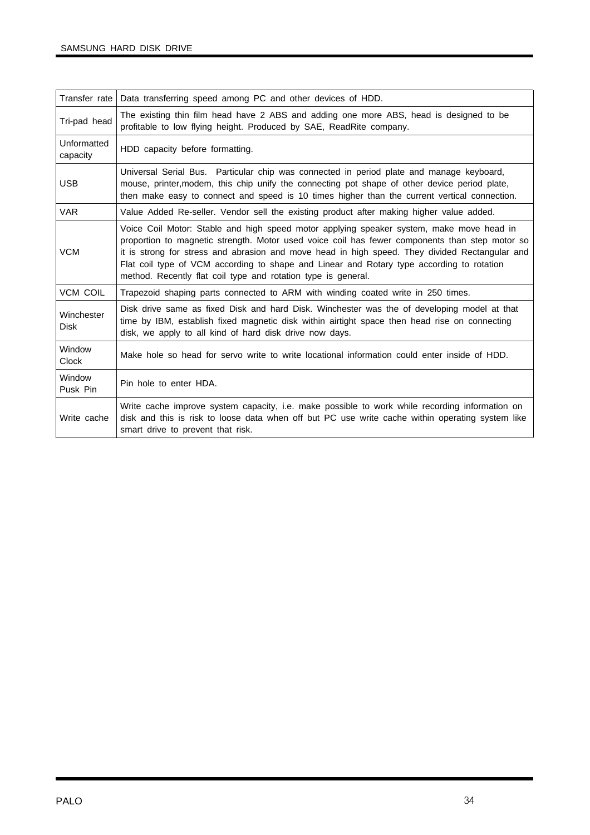| Transfer rate             | Data transferring speed among PC and other devices of HDD.                                                                                                                                                                                                                                                                                                                                                                                                 |
|---------------------------|------------------------------------------------------------------------------------------------------------------------------------------------------------------------------------------------------------------------------------------------------------------------------------------------------------------------------------------------------------------------------------------------------------------------------------------------------------|
| Tri-pad head              | The existing thin film head have 2 ABS and adding one more ABS, head is designed to be<br>profitable to low flying height. Produced by SAE, ReadRite company.                                                                                                                                                                                                                                                                                              |
| Unformatted<br>capacity   | HDD capacity before formatting.                                                                                                                                                                                                                                                                                                                                                                                                                            |
| <b>USB</b>                | Universal Serial Bus. Particular chip was connected in period plate and manage keyboard,<br>mouse, printer, modem, this chip unify the connecting pot shape of other device period plate,<br>then make easy to connect and speed is 10 times higher than the current vertical connection.                                                                                                                                                                  |
| <b>VAR</b>                | Value Added Re-seller. Vendor sell the existing product after making higher value added.                                                                                                                                                                                                                                                                                                                                                                   |
| <b>VCM</b>                | Voice Coil Motor: Stable and high speed motor applying speaker system, make move head in<br>proportion to magnetic strength. Motor used voice coil has fewer components than step motor so<br>it is strong for stress and abrasion and move head in high speed. They divided Rectangular and<br>Flat coil type of VCM according to shape and Linear and Rotary type according to rotation<br>method. Recently flat coil type and rotation type is general. |
| <b>VCM COIL</b>           | Trapezoid shaping parts connected to ARM with winding coated write in 250 times.                                                                                                                                                                                                                                                                                                                                                                           |
| Winchester<br><b>Disk</b> | Disk drive same as fixed Disk and hard Disk. Winchester was the of developing model at that<br>time by IBM, establish fixed magnetic disk within airtight space then head rise on connecting<br>disk, we apply to all kind of hard disk drive now days.                                                                                                                                                                                                    |
| Window<br><b>Clock</b>    | Make hole so head for servo write to write locational information could enter inside of HDD.                                                                                                                                                                                                                                                                                                                                                               |
| Window<br>Pusk Pin        | Pin hole to enter HDA.                                                                                                                                                                                                                                                                                                                                                                                                                                     |
| Write cache               | Write cache improve system capacity, i.e. make possible to work while recording information on<br>disk and this is risk to loose data when off but PC use write cache within operating system like<br>smart drive to prevent that risk.                                                                                                                                                                                                                    |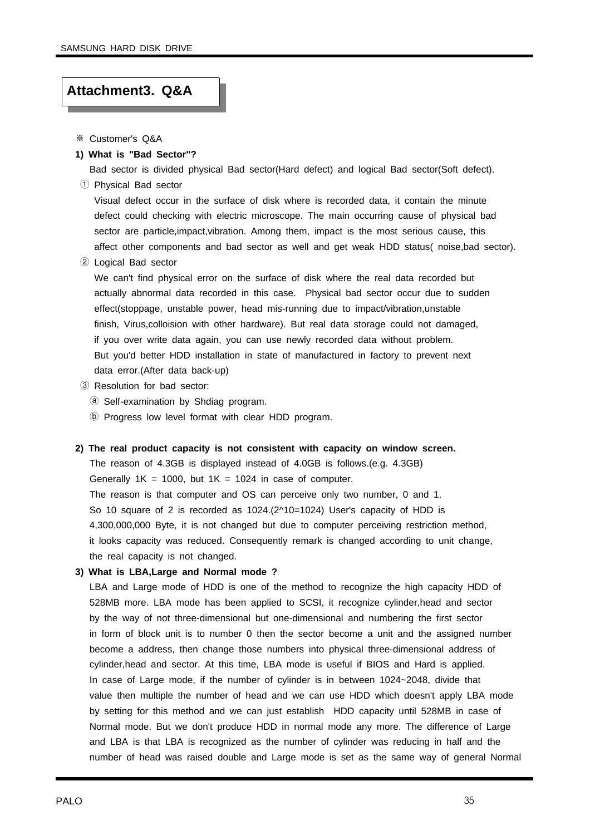#### **Attachment3. Q&A**

- ※ Customer's Q&A
- **1) What is "Bad Sector"?**

Bad sector is divided physical Bad sector(Hard defect) and logical Bad sector(Soft defect). ① Physical Bad sector

Visual defect occur in the surface of disk where is recorded data, it contain the minute defect could checking with electric microscope. The main occurring cause of physical bad sector are particle,impact,vibration. Among them, impact is the most serious cause, this affect other components and bad sector as well and get weak HDD status( noise,bad sector).

② Logical Bad sector

We can't find physical error on the surface of disk where the real data recorded but actually abnormal data recorded in this case. Physical bad sector occur due to sudden effect(stoppage, unstable power, head mis-running due to impact/vibration,unstable finish, Virus,colloision with other hardware). But real data storage could not damaged, if you over write data again, you can use newly recorded data without problem. But you'd better HDD installation in state of manufactured in factory to prevent next data error.(After data back-up)

- ③ Resolution for bad sector:
	- ⓐ Self-examination by Shdiag program.
	- ⓑ Progress low level format with clear HDD program.

#### **2) The real product capacity is not consistent with capacity on window screen.**

The reason of 4.3GB is displayed instead of 4.0GB is follows.(e.g. 4.3GB) Generally  $1K = 1000$ , but  $1K = 1024$  in case of computer. The reason is that computer and OS can perceive only two number, 0 and 1. So 10 square of 2 is recorded as 1024.(2^10=1024) User's capacity of HDD is 4,300,000,000 Byte, it is not changed but due to computer perceiving restriction method, it looks capacity was reduced. Consequently remark is changed according to unit change, the real capacity is not changed.

#### **3) What is LBA,Large and Normal mode ?**

LBA and Large mode of HDD is one of the method to recognize the high capacity HDD of 528MB more. LBA mode has been applied to SCSI, it recognize cylinder,head and sector by the way of not three-dimensional but one-dimensional and numbering the first sector in form of block unit is to number 0 then the sector become a unit and the assigned number become a address, then change those numbers into physical three-dimensional address of cylinder,head and sector. At this time, LBA mode is useful if BIOS and Hard is applied. In case of Large mode, if the number of cylinder is in between 1024~2048, divide that value then multiple the number of head and we can use HDD which doesn't apply LBA mode by setting for this method and we can just establish HDD capacity until 528MB in case of Normal mode. But we don't produce HDD in normal mode any more. The difference of Large and LBA is that LBA is recognized as the number of cylinder was reducing in half and the number of head was raised double and Large mode is set as the same way of general Normal